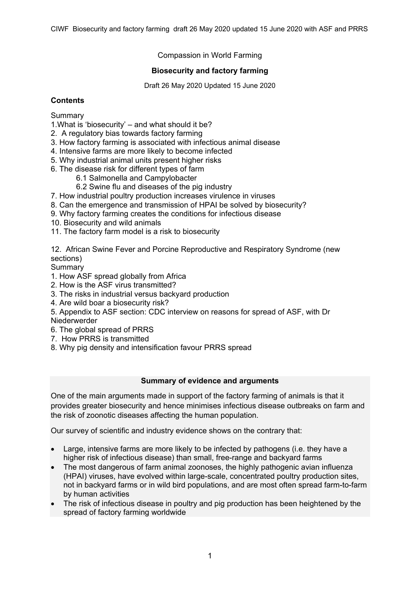CIWF Biosecurity and factory farming draft 26 May 2020 updated 15 June 2020 with ASF and PRRS

Compassion in World Farming

# **Biosecurity and factory farming**

Draft 26 May 2020 Updated 15 June 2020

# **Contents**

Summary

- 1.What is 'biosecurity' and what should it be?
- 2. A regulatory bias towards factory farming
- 3. How factory farming is associated with infectious animal disease
- 4. Intensive farms are more likely to become infected
- 5. Why industrial animal units present higher risks
- 6. The disease risk for different types of farm
	- 6.1 Salmonella and Campylobacter
	- 6.2 Swine flu and diseases of the pig industry
- 7. How industrial poultry production increases virulence in viruses
- 8. Can the emergence and transmission of HPAI be solved by biosecurity?
- 9. Why factory farming creates the conditions for infectious disease
- 10. Biosecurity and wild animals
- 11. The factory farm model is a risk to biosecurity

12. African Swine Fever and Porcine Reproductive and Respiratory Syndrome (new sections)

Summary

- 1. How ASF spread globally from Africa
- 2. How is the ASF virus transmitted?
- 3. The risks in industrial versus backyard production
- 4. Are wild boar a biosecurity risk?

5. Appendix to ASF section: CDC interview on reasons for spread of ASF, with Dr Niederwerder

- 6. The global spread of PRRS
- 7. How PRRS is transmitted
- 8. Why pig density and intensification favour PRRS spread

### **Summary of evidence and arguments**

One of the main arguments made in support of the factory farming of animals is that it provides greater biosecurity and hence minimises infectious disease outbreaks on farm and the risk of zoonotic diseases affecting the human population.

Our survey of scientific and industry evidence shows on the contrary that:

- Large, intensive farms are more likely to be infected by pathogens (i.e. they have a higher risk of infectious disease) than small, free-range and backyard farms
- The most dangerous of farm animal zoonoses, the highly pathogenic avian influenza (HPAI) viruses, have evolved within large-scale, concentrated poultry production sites, not in backyard farms or in wild bird populations, and are most often spread farm-to-farm by human activities
- The risk of infectious disease in poultry and pig production has been heightened by the spread of factory farming worldwide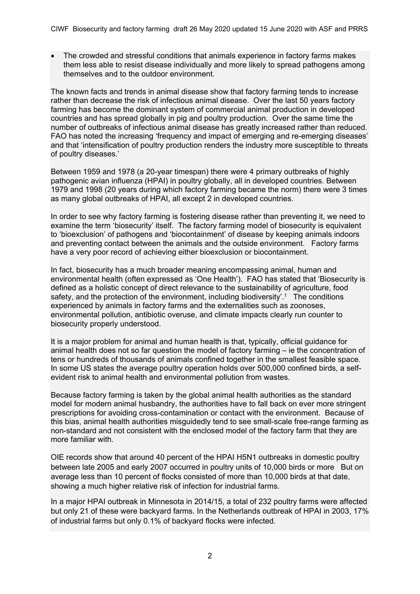The crowded and stressful conditions that animals experience in factory farms makes them less able to resist disease individually and more likely to spread pathogens among themselves and to the outdoor environment.

The known facts and trends in animal disease show that factory farming tends to increase rather than decrease the risk of infectious animal disease. Over the last 50 years factory farming has become the dominant system of commercial animal production in developed countries and has spread globally in pig and poultry production. Over the same time the number of outbreaks of infectious animal disease has greatly increased rather than reduced. FAO has noted the increasing 'frequency and impact of emerging and re-emerging diseases' and that 'intensification of poultry production renders the industry more susceptible to threats of poultry diseases.'

Between 1959 and 1978 (a 20-year timespan) there were 4 primary outbreaks of highly pathogenic avian influenza (HPAI) in poultry globally, all in developed countries. Between 1979 and 1998 (20 years during which factory farming became the norm) there were 3 times as many global outbreaks of HPAI, all except 2 in developed countries.

In order to see why factory farming is fostering disease rather than preventing it, we need to examine the term 'biosecurity' itself. The factory farming model of biosecurity is equivalent to 'bioexclusion' of pathogens and 'biocontainment' of disease by keeping animals indoors and preventing contact between the animals and the outside environment. Factory farms have a very poor record of achieving either bioexclusion or biocontainment.

In fact, biosecurity has a much broader meaning encompassing animal, human and environmental health (often expressed as 'One Health'). FAO has stated that 'Biosecurity is defined as a holistic concept of direct relevance to the sustainability of agriculture, food safety, and the protection of the environment, including biodiversity'.1 The conditions experienced by animals in factory farms and the externalities such as zoonoses, environmental pollution, antibiotic overuse, and climate impacts clearly run counter to biosecurity properly understood.

It is a major problem for animal and human health is that, typically, official guidance for animal health does not so far question the model of factory farming – ie the concentration of tens or hundreds of thousands of animals confined together in the smallest feasible space. In some US states the average poultry operation holds over 500,000 confined birds, a selfevident risk to animal health and environmental pollution from wastes.

Because factory farming is taken by the global animal health authorities as the standard model for modern animal husbandry, the authorities have to fall back on ever more stringent prescriptions for avoiding cross-contamination or contact with the environment. Because of this bias, animal health authorities misguidedly tend to see small-scale free-range farming as non-standard and not consistent with the enclosed model of the factory farm that they are more familiar with.

OIE records show that around 40 percent of the HPAI H5N1 outbreaks in domestic poultry between late 2005 and early 2007 occurred in poultry units of 10,000 birds or more But on average less than 10 percent of flocks consisted of more than 10,000 birds at that date, showing a much higher relative risk of infection for industrial farms.

In a major HPAI outbreak in Minnesota in 2014/15, a total of 232 poultry farms were affected but only 21 of these were backyard farms. In the Netherlands outbreak of HPAI in 2003, 17% of industrial farms but only 0.1% of backyard flocks were infected.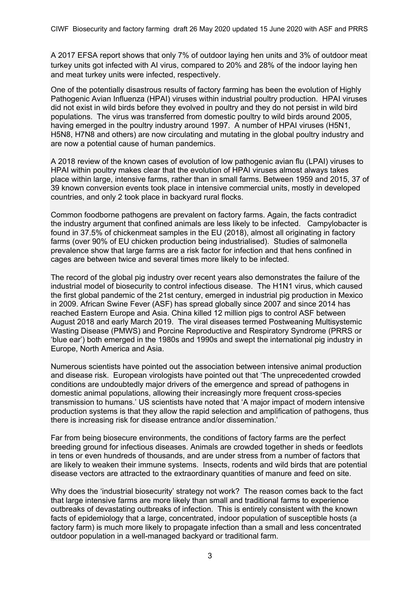A 2017 EFSA report shows that only 7% of outdoor laying hen units and 3% of outdoor meat turkey units got infected with AI virus, compared to 20% and 28% of the indoor laying hen and meat turkey units were infected, respectively.

One of the potentially disastrous results of factory farming has been the evolution of Highly Pathogenic Avian Influenza (HPAI) viruses within industrial poultry production. HPAI viruses did not exist in wild birds before they evolved in poultry and they do not persist in wild bird populations. The virus was transferred from domestic poultry to wild birds around 2005, having emerged in the poultry industry around 1997. A number of HPAI viruses (H5N1, H5N8, H7N8 and others) are now circulating and mutating in the global poultry industry and are now a potential cause of human pandemics.

A 2018 review of the known cases of evolution of low pathogenic avian flu (LPAI) viruses to HPAI within poultry makes clear that the evolution of HPAI viruses almost always takes place within large, intensive farms, rather than in small farms. Between 1959 and 2015, 37 of 39 known conversion events took place in intensive commercial units, mostly in developed countries, and only 2 took place in backyard rural flocks.

Common foodborne pathogens are prevalent on factory farms. Again, the facts contradict the industry argument that confined animals are less likely to be infected. Campylobacter is found in 37.5% of chickenmeat samples in the EU (2018), almost all originating in factory farms (over 90% of EU chicken production being industrialised). Studies of salmonella prevalence show that large farms are a risk factor for infection and that hens confined in cages are between twice and several times more likely to be infected.

The record of the global pig industry over recent years also demonstrates the failure of the industrial model of biosecurity to control infectious disease. The H1N1 virus, which caused the first global pandemic of the 21st century, emerged in industrial pig production in Mexico in 2009. African Swine Fever (ASF) has spread globally since 2007 and since 2014 has reached Eastern Europe and Asia. China killed 12 million pigs to control ASF between August 2018 and early March 2019. The viral diseases termed Postweaning Multisystemic Wasting Disease (PMWS) and Porcine Reproductive and Respiratory Syndrome (PRRS or 'blue ear') both emerged in the 1980s and 1990s and swept the international pig industry in Europe, North America and Asia.

Numerous scientists have pointed out the association between intensive animal production and disease risk. European virologists have pointed out that 'The unprecedented crowded conditions are undoubtedly major drivers of the emergence and spread of pathogens in domestic animal populations, allowing their increasingly more frequent cross-species transmission to humans.' US scientists have noted that 'A major impact of modern intensive production systems is that they allow the rapid selection and amplification of pathogens, thus there is increasing risk for disease entrance and/or dissemination.'

Far from being biosecure environments, the conditions of factory farms are the perfect breeding ground for infectious diseases. Animals are crowded together in sheds or feedlots in tens or even hundreds of thousands, and are under stress from a number of factors that are likely to weaken their immune systems. Insects, rodents and wild birds that are potential disease vectors are attracted to the extraordinary quantities of manure and feed on site.

Why does the 'industrial biosecurity' strategy not work? The reason comes back to the fact that large intensive farms are more likely than small and traditional farms to experience outbreaks of devastating outbreaks of infection. This is entirely consistent with the known facts of epidemiology that a large, concentrated, indoor population of susceptible hosts (a factory farm) is much more likely to propagate infection than a small and less concentrated outdoor population in a well-managed backyard or traditional farm.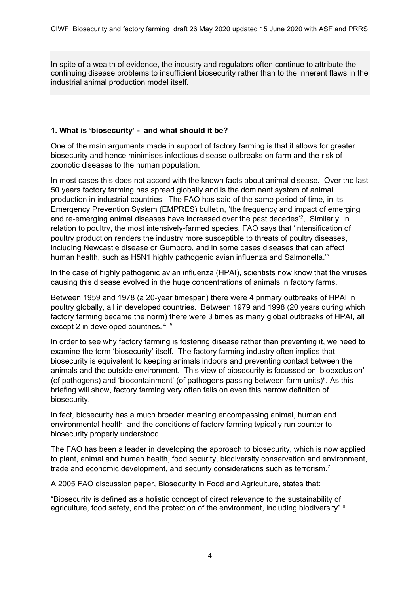In spite of a wealth of evidence, the industry and regulators often continue to attribute the continuing disease problems to insufficient biosecurity rather than to the inherent flaws in the industrial animal production model itself.

### **1. What is 'biosecurity' - and what should it be?**

One of the main arguments made in support of factory farming is that it allows for greater biosecurity and hence minimises infectious disease outbreaks on farm and the risk of zoonotic diseases to the human population.

In most cases this does not accord with the known facts about animal disease. Over the last 50 years factory farming has spread globally and is the dominant system of animal production in industrial countries. The FAO has said of the same period of time, in its Emergency Prevention System (EMPRES) bulletin, 'the frequency and impact of emerging and re-emerging animal diseases have increased over the past decades<sup> $2$ </sup>, Similarly, in relation to poultry, the most intensively-farmed species, FAO says that 'intensification of poultry production renders the industry more susceptible to threats of poultry diseases, including Newcastle disease or Gumboro, and in some cases diseases that can affect human health, such as H5N1 highly pathogenic avian influenza and Salmonella.<sup>3</sup>

In the case of highly pathogenic avian influenza (HPAI), scientists now know that the viruses causing this disease evolved in the huge concentrations of animals in factory farms.

Between 1959 and 1978 (a 20-year timespan) there were 4 primary outbreaks of HPAI in poultry globally, all in developed countries. Between 1979 and 1998 (20 years during which factory farming became the norm) there were 3 times as many global outbreaks of HPAI, all except 2 in developed countries. 4, <sup>5</sup>

In order to see why factory farming is fostering disease rather than preventing it, we need to examine the term 'biosecurity' itself. The factory farming industry often implies that biosecurity is equivalent to keeping animals indoors and preventing contact between the animals and the outside environment. This view of biosecurity is focussed on 'bioexclusion' (of pathogens) and 'biocontainment' (of pathogens passing between farm units) $6$ . As this briefing will show, factory farming very often fails on even this narrow definition of biosecurity.

In fact, biosecurity has a much broader meaning encompassing animal, human and environmental health, and the conditions of factory farming typically run counter to biosecurity properly understood.

The FAO has been a leader in developing the approach to biosecurity, which is now applied to plant, animal and human health, food security, biodiversity conservation and environment, trade and economic development, and security considerations such as terrorism.<sup>7</sup>

A 2005 FAO discussion paper, Biosecurity in Food and Agriculture, states that:

"Biosecurity is defined as a holistic concept of direct relevance to the sustainability of agriculture, food safety, and the protection of the environment, including biodiversity".8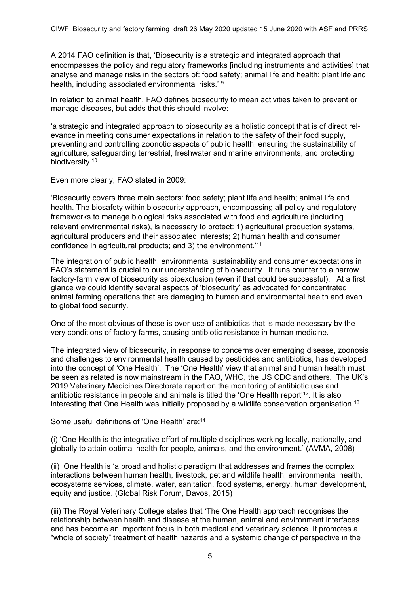A 2014 FAO definition is that, 'Biosecurity is a strategic and integrated approach that encompasses the policy and regulatory frameworks [including instruments and activities] that analyse and manage risks in the sectors of: food safety; animal life and health; plant life and health, including associated environmental risks.' 9

In relation to animal health, FAO defines biosecurity to mean activities taken to prevent or manage diseases, but adds that this should involve:

'a strategic and integrated approach to biosecurity as a holistic concept that is of direct relevance in meeting consumer expectations in relation to the safety of their food supply, preventing and controlling zoonotic aspects of public health, ensuring the sustainability of agriculture, safeguarding terrestrial, freshwater and marine environments, and protecting biodiversity.<sup>10</sup>

Even more clearly, FAO stated in 2009:

'Biosecurity covers three main sectors: food safety; plant life and health; animal life and health. The biosafety within biosecurity approach, encompassing all policy and regulatory frameworks to manage biological risks associated with food and agriculture (including relevant environmental risks), is necessary to protect: 1) agricultural production systems, agricultural producers and their associated interests; 2) human health and consumer confidence in agricultural products; and 3) the environment.'11

The integration of public health, environmental sustainability and consumer expectations in FAO's statement is crucial to our understanding of biosecurity. It runs counter to a narrow factory-farm view of biosecurity as bioexclusion (even if that could be successful). At a first glance we could identify several aspects of 'biosecurity' as advocated for concentrated animal farming operations that are damaging to human and environmental health and even to global food security.

One of the most obvious of these is over-use of antibiotics that is made necessary by the very conditions of factory farms, causing antibiotic resistance in human medicine.

The integrated view of biosecurity, in response to concerns over emerging disease, zoonosis and challenges to environmental health caused by pesticides and antibiotics, has developed into the concept of 'One Health'. The 'One Health' view that animal and human health must be seen as related is now mainstream in the FAO, WHO, the US CDC and others. The UK's 2019 Veterinary Medicines Directorate report on the monitoring of antibiotic use and antibiotic resistance in people and animals is titled the 'One Health report'12. It is also interesting that One Health was initially proposed by a wildlife conservation organisation.13

Some useful definitions of 'One Health' are:14

(i) 'One Health is the integrative effort of multiple disciplines working locally, nationally, and globally to attain optimal health for people, animals, and the environment.' (AVMA, 2008)

(ii) One Health is 'a broad and holistic paradigm that addresses and frames the complex interactions between human health, livestock, pet and wildlife health, environmental health, ecosystems services, climate, water, sanitation, food systems, energy, human development, equity and justice. (Global Risk Forum, Davos, 2015)

(iii) The Royal Veterinary College states that 'The One Health approach recognises the relationship between health and disease at the human, animal and environment interfaces and has become an important focus in both medical and veterinary science. It promotes a "whole of society" treatment of health hazards and a systemic change of perspective in the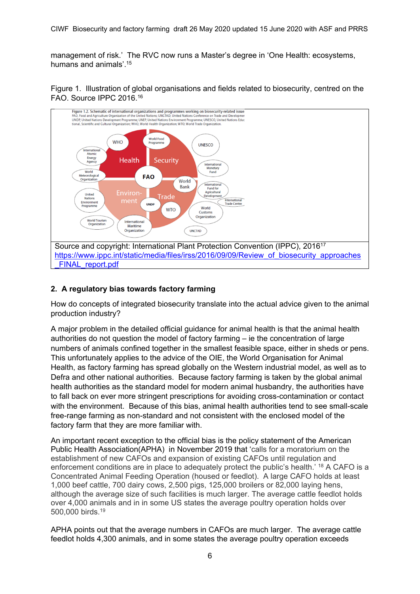management of risk.' The RVC now runs a Master's degree in 'One Health: ecosystems, humans and animals'.15

Figure 1. Illustration of global organisations and fields related to biosecurity, centred on the FAO. Source IPPC 2016.16



## **2. A regulatory bias towards factory farming**

How do concepts of integrated biosecurity translate into the actual advice given to the animal production industry?

A major problem in the detailed official guidance for animal health is that the animal health authorities do not question the model of factory farming – ie the concentration of large numbers of animals confined together in the smallest feasible space, either in sheds or pens. This unfortunately applies to the advice of the OIE, the World Organisation for Animal Health, as factory farming has spread globally on the Western industrial model, as well as to Defra and other national authorities. Because factory farming is taken by the global animal health authorities as the standard model for modern animal husbandry, the authorities have to fall back on ever more stringent prescriptions for avoiding cross-contamination or contact with the environment. Because of this bias, animal health authorities tend to see small-scale free-range farming as non-standard and not consistent with the enclosed model of the factory farm that they are more familiar with.

An important recent exception to the official bias is the policy statement of the American Public Health Association(APHA) in November 2019 that 'calls for a moratorium on the establishment of new CAFOs and expansion of existing CAFOs until regulation and enforcement conditions are in place to adequately protect the public's health.' 18 A CAFO is a Concentrated Animal Feeding Operation (housed or feedlot). A large CAFO holds at least 1,000 beef cattle, 700 dairy cows, 2,500 pigs, 125,000 broilers or 82,000 laying hens, although the average size of such facilities is much larger. The average cattle feedlot holds over 4,000 animals and in in some US states the average poultry operation holds over 500,000 birds.19

APHA points out that the average numbers in CAFOs are much larger. The average cattle feedlot holds 4,300 animals, and in some states the average poultry operation exceeds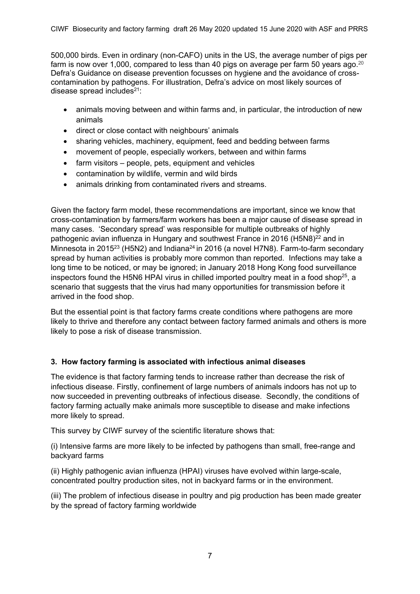500,000 birds. Even in ordinary (non-CAFO) units in the US, the average number of pigs per farm is now over 1,000, compared to less than 40 pigs on average per farm 50 years ago.<sup>20</sup> Defra's Guidance on disease prevention focusses on hygiene and the avoidance of crosscontamination by pathogens. For illustration, Defra's advice on most likely sources of disease spread includes $21$ :

- animals moving between and within farms and, in particular, the introduction of new animals
- direct or close contact with neighbours' animals
- sharing vehicles, machinery, equipment, feed and bedding between farms
- movement of people, especially workers, between and within farms
- $\bullet$  farm visitors people, pets, equipment and vehicles
- contamination by wildlife, vermin and wild birds
- animals drinking from contaminated rivers and streams.

Given the factory farm model, these recommendations are important, since we know that cross-contamination by farmers/farm workers has been a major cause of disease spread in many cases. 'Secondary spread' was responsible for multiple outbreaks of highly pathogenic avian influenza in Hungary and southwest France in 2016 (H5N8)<sup>22</sup> and in Minnesota in 2015<sup>23</sup> (H5N2) and Indiana<sup>24</sup> in 2016 (a novel H7N8). Farm-to-farm secondary spread by human activities is probably more common than reported. Infections may take a long time to be noticed, or may be ignored; in January 2018 Hong Kong food surveillance inspectors found the H5N6 HPAI virus in chilled imported poultry meat in a food shop<sup>25</sup>, a scenario that suggests that the virus had many opportunities for transmission before it arrived in the food shop.

But the essential point is that factory farms create conditions where pathogens are more likely to thrive and therefore any contact between factory farmed animals and others is more likely to pose a risk of disease transmission.

### **3. How factory farming is associated with infectious animal diseases**

The evidence is that factory farming tends to increase rather than decrease the risk of infectious disease. Firstly, confinement of large numbers of animals indoors has not up to now succeeded in preventing outbreaks of infectious disease. Secondly, the conditions of factory farming actually make animals more susceptible to disease and make infections more likely to spread.

This survey by CIWF survey of the scientific literature shows that:

(i) Intensive farms are more likely to be infected by pathogens than small, free-range and backyard farms

(ii) Highly pathogenic avian influenza (HPAI) viruses have evolved within large-scale, concentrated poultry production sites, not in backyard farms or in the environment.

(iii) The problem of infectious disease in poultry and pig production has been made greater by the spread of factory farming worldwide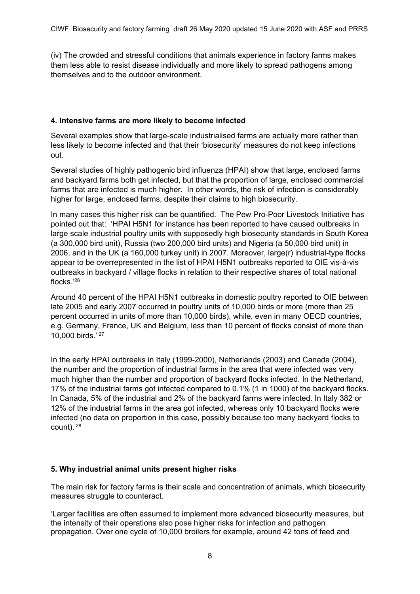(iv) The crowded and stressful conditions that animals experience in factory farms makes them less able to resist disease individually and more likely to spread pathogens among themselves and to the outdoor environment.

## **4. Intensive farms are more likely to become infected**

Several examples show that large-scale industrialised farms are actually more rather than less likely to become infected and that their 'biosecurity' measures do not keep infections out.

Several studies of highly pathogenic bird influenza (HPAI) show that large, enclosed farms and backyard farms both get infected, but that the proportion of large, enclosed commercial farms that are infected is much higher. In other words, the risk of infection is considerably higher for large, enclosed farms, despite their claims to high biosecurity.

In many cases this higher risk can be quantified. The Pew Pro-Poor Livestock Initiative has pointed out that: 'HPAI H5N1 for instance has been reported to have caused outbreaks in large scale industrial poultry units with supposedly high biosecurity standards in South Korea (a 300,000 bird unit), Russia (two 200,000 bird units) and Nigeria (a 50,000 bird unit) in 2006, and in the UK (a 160,000 turkey unit) in 2007. Moreover, large(r) industrial-type flocks appear to be overrepresented in the list of HPAI H5N1 outbreaks reported to OIE vis-à-vis outbreaks in backyard / village flocks in relation to their respective shares of total national flocks.'26

Around 40 percent of the HPAI H5N1 outbreaks in domestic poultry reported to OIE between late 2005 and early 2007 occurred in poultry units of 10,000 birds or more (more than 25 percent occurred in units of more than 10,000 birds), while, even in many OECD countries, e.g. Germany, France, UK and Belgium, less than 10 percent of flocks consist of more than 10,000 birds.' 27

In the early HPAI outbreaks in Italy (1999-2000), Netherlands (2003) and Canada (2004), the number and the proportion of industrial farms in the area that were infected was very much higher than the number and proportion of backyard flocks infected. In the Netherland, 17% of the industrial farms got infected compared to 0.1% (1 in 1000) of the backyard flocks. In Canada, 5% of the industrial and 2% of the backyard farms were infected. In Italy 382 or 12% of the industrial farms in the area got infected, whereas only 10 backyard flocks were infected (no data on proportion in this case, possibly because too many backyard flocks to count). 28

# **5. Why industrial animal units present higher risks**

The main risk for factory farms is their scale and concentration of animals, which biosecurity measures struggle to counteract.

'Larger facilities are often assumed to implement more advanced biosecurity measures, but the intensity of their operations also pose higher risks for infection and pathogen propagation. Over one cycle of 10,000 broilers for example, around 42 tons of feed and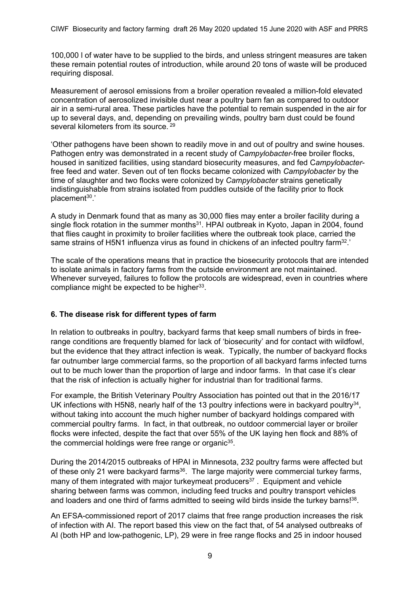100,000 l of water have to be supplied to the birds, and unless stringent measures are taken these remain potential routes of introduction, while around 20 tons of waste will be produced requiring disposal.

Measurement of aerosol emissions from a broiler operation revealed a million-fold elevated concentration of aerosolized invisible dust near a poultry barn fan as compared to outdoor air in a semi-rural area. These particles have the potential to remain suspended in the air for up to several days, and, depending on prevailing winds, poultry barn dust could be found several kilometers from its source. <sup>29</sup>

'Other pathogens have been shown to readily move in and out of poultry and swine houses. Pathogen entry was demonstrated in a recent study of C*ampylobacter*-free broiler flocks, housed in sanitized facilities, using standard biosecurity measures, and fed C*ampylobacter*free feed and water. Seven out of ten flocks became colonized with *Campylobacter* by the time of slaughter and two flocks were colonized by *Campylobacter* strains genetically indistinguishable from strains isolated from puddles outside of the facility prior to flock placement<sup>30</sup>.'

A study in Denmark found that as many as 30,000 flies may enter a broiler facility during a single flock rotation in the summer months $31$ . HPAI outbreak in Kyoto, Japan in 2004, found that flies caught in proximity to broiler facilities where the outbreak took place, carried the same strains of H5N1 influenza virus as found in chickens of an infected poultry farm<sup>32</sup>.'

The scale of the operations means that in practice the biosecurity protocols that are intended to isolate animals in factory farms from the outside environment are not maintained. Whenever surveyed, failures to follow the protocols are widespread, even in countries where compliance might be expected to be higher<sup>33</sup>.

### **6. The disease risk for different types of farm**

In relation to outbreaks in poultry, backyard farms that keep small numbers of birds in freerange conditions are frequently blamed for lack of 'biosecurity' and for contact with wildfowl, but the evidence that they attract infection is weak. Typically, the number of backyard flocks far outnumber large commercial farms, so the proportion of all backyard farms infected turns out to be much lower than the proportion of large and indoor farms. In that case it's clear that the risk of infection is actually higher for industrial than for traditional farms.

For example, the British Veterinary Poultry Association has pointed out that in the 2016/17 UK infections with H5N8, nearly half of the 13 poultry infections were in backyard poultry<sup>34</sup>, without taking into account the much higher number of backyard holdings compared with commercial poultry farms. In fact, in that outbreak, no outdoor commercial layer or broiler flocks were infected, despite the fact that over 55% of the UK laying hen flock and 88% of the commercial holdings were free range or organic<sup>35</sup>.

During the 2014/2015 outbreaks of HPAI in Minnesota, 232 poultry farms were affected but of these only 21 were backyard farms<sup>36</sup>. The large majority were commercial turkey farms, many of them integrated with major turkeymeat producers<sup>37</sup>. Equipment and vehicle sharing between farms was common, including feed trucks and poultry transport vehicles and loaders and one third of farms admitted to seeing wild birds inside the turkey barns!<sup>38</sup>.

An EFSA-commissioned report of 2017 claims that free range production increases the risk of infection with AI. The report based this view on the fact that, of 54 analysed outbreaks of AI (both HP and low-pathogenic, LP), 29 were in free range flocks and 25 in indoor housed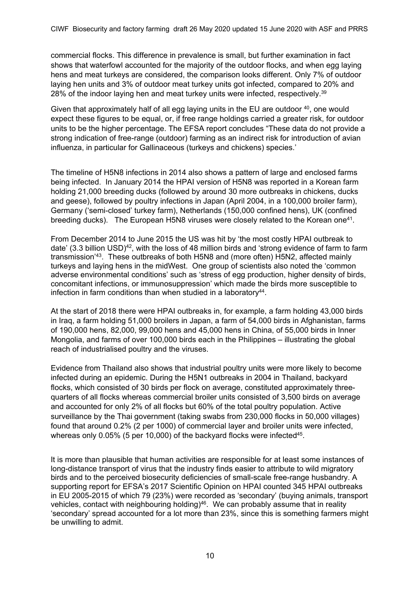commercial flocks. This difference in prevalence is small, but further examination in fact shows that waterfowl accounted for the majority of the outdoor flocks, and when egg laying hens and meat turkeys are considered, the comparison looks different. Only 7% of outdoor laying hen units and 3% of outdoor meat turkey units got infected, compared to 20% and 28% of the indoor laying hen and meat turkey units were infected, respectively.39

Given that approximately half of all egg laying units in the EU are outdoor 40, one would expect these figures to be equal, or, if free range holdings carried a greater risk, for outdoor units to be the higher percentage. The EFSA report concludes "These data do not provide a strong indication of free-range (outdoor) farming as an indirect risk for introduction of avian influenza, in particular for Gallinaceous (turkeys and chickens) species.'

The timeline of H5N8 infections in 2014 also shows a pattern of large and enclosed farms being infected. In January 2014 the HPAI version of H5N8 was reported in a Korean farm holding 21,000 breeding ducks (followed by around 30 more outbreaks in chickens, ducks and geese), followed by poultry infections in Japan (April 2004, in a 100,000 broiler farm), Germany ('semi-closed' turkey farm), Netherlands (150,000 confined hens), UK (confined breeding ducks). The European H5N8 viruses were closely related to the Korean one41.

From December 2014 to June 2015 the US was hit by 'the most costly HPAI outbreak to date' (3.3 billion USD)42, with the loss of 48 million birds and 'strong evidence of farm to farm transmission'43. These outbreaks of both H5N8 and (more often) H5N2, affected mainly turkeys and laying hens in the midWest. One group of scientists also noted the 'common adverse environmental conditions' such as 'stress of egg production, higher density of birds, concomitant infections, or immunosuppression' which made the birds more susceptible to infection in farm conditions than when studied in a laboratory<sup>44</sup>.

At the start of 2018 there were HPAI outbreaks in, for example, a farm holding 43,000 birds in Iraq, a farm holding 51,000 broilers in Japan, a farm of 54,000 birds in Afghanistan, farms of 190,000 hens, 82,000, 99,000 hens and 45,000 hens in China, of 55,000 birds in Inner Mongolia, and farms of over 100,000 birds each in the Philippines – illustrating the global reach of industrialised poultry and the viruses.

Evidence from Thailand also shows that industrial poultry units were more likely to become infected during an epidemic. During the H5N1 outbreaks in 2004 in Thailand, backyard flocks, which consisted of 30 birds per flock on average, constituted approximately threequarters of all flocks whereas commercial broiler units consisted of 3,500 birds on average and accounted for only 2% of all flocks but 60% of the total poultry population. Active surveillance by the Thai government (taking swabs from 230,000 flocks in 50,000 villages) found that around 0.2% (2 per 1000) of commercial layer and broiler units were infected, whereas only 0.05% (5 per 10,000) of the backyard flocks were infected<sup>45</sup>.

It is more than plausible that human activities are responsible for at least some instances of long-distance transport of virus that the industry finds easier to attribute to wild migratory birds and to the perceived biosecurity deficiencies of small-scale free-range husbandry. A supporting report for EFSA's 2017 Scientific Opinion on HPAI counted 345 HPAI outbreaks in EU 2005-2015 of which 79 (23%) were recorded as 'secondary' (buying animals, transport vehicles, contact with neighbouring holding)<sup>46</sup>. We can probably assume that in reality 'secondary' spread accounted for a lot more than 23%, since this is something farmers might be unwilling to admit.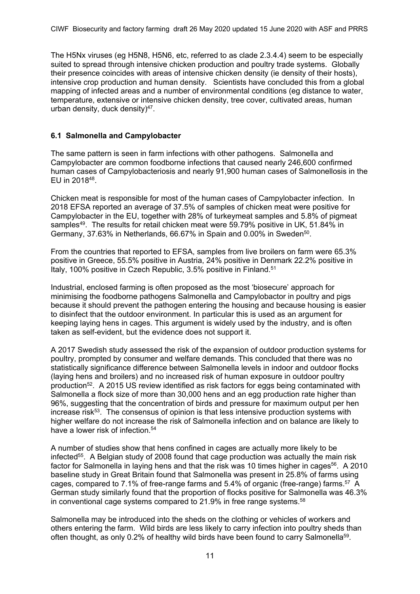The H5Nx viruses (eg H5N8, H5N6, etc, referred to as clade 2.3.4.4) seem to be especially suited to spread through intensive chicken production and poultry trade systems. Globally their presence coincides with areas of intensive chicken density (ie density of their hosts), intensive crop production and human density. Scientists have concluded this from a global mapping of infected areas and a number of environmental conditions (eg distance to water, temperature, extensive or intensive chicken density, tree cover, cultivated areas, human urban density, duck density)47.

#### **6.1 Salmonella and Campylobacter**

The same pattern is seen in farm infections with other pathogens. Salmonella and Campylobacter are common foodborne infections that caused nearly 246,600 confirmed human cases of Campylobacteriosis and nearly 91,900 human cases of Salmonellosis in the EU in 201848.

Chicken meat is responsible for most of the human cases of Campylobacter infection. In 2018 EFSA reported an average of 37.5% of samples of chicken meat were positive for Campylobacter in the EU, together with 28% of turkeymeat samples and 5.8% of pigmeat samples<sup>49</sup>. The results for retail chicken meat were 59.79% positive in UK, 51.84% in Germany, 37.63% in Netherlands, 66.67% in Spain and 0.00% in Sweden<sup>50</sup>.

From the countries that reported to EFSA, samples from live broilers on farm were 65.3% positive in Greece, 55.5% positive in Austria, 24% positive in Denmark 22.2% positive in Italy, 100% positive in Czech Republic, 3.5% positive in Finland.51

Industrial, enclosed farming is often proposed as the most 'biosecure' approach for minimising the foodborne pathogens Salmonella and Campylobactor in poultry and pigs because it should prevent the pathogen entering the housing and because housing is easier to disinfect that the outdoor environment. In particular this is used as an argument for keeping laying hens in cages. This argument is widely used by the industry, and is often taken as self-evident, but the evidence does not support it.

A 2017 Swedish study assessed the risk of the expansion of outdoor production systems for poultry, prompted by consumer and welfare demands. This concluded that there was no statistically significance difference between Salmonella levels in indoor and outdoor flocks (laying hens and broilers) and no increased risk of human exposure in outdoor poultry production<sup>52</sup>. A 2015 US review identified as risk factors for eggs being contaminated with Salmonella a flock size of more than 30,000 hens and an egg production rate higher than 96%, suggesting that the concentration of birds and pressure for maximum output per hen increase risk<sup>53</sup>. The consensus of opinion is that less intensive production systems with higher welfare do not increase the risk of Salmonella infection and on balance are likely to have a lower risk of infection  $54$ 

A number of studies show that hens confined in cages are actually more likely to be infected<sup>55</sup>. A Belgian study of 2008 found that cage production was actually the main risk factor for Salmonella in laying hens and that the risk was 10 times higher in cages<sup>56</sup>. A 2010 baseline study in Great Britain found that Salmonella was present in 25.8% of farms using cages, compared to 7.1% of free-range farms and 5.4% of organic (free-range) farms.<sup>57</sup> A German study similarly found that the proportion of flocks positive for Salmonella was 46.3% in conventional cage systems compared to 21.9% in free range systems.<sup>58</sup>

Salmonella may be introduced into the sheds on the clothing or vehicles of workers and others entering the farm. Wild birds are less likely to carry infection into poultry sheds than often thought, as only 0.2% of healthy wild birds have been found to carry Salmonella<sup>59</sup>.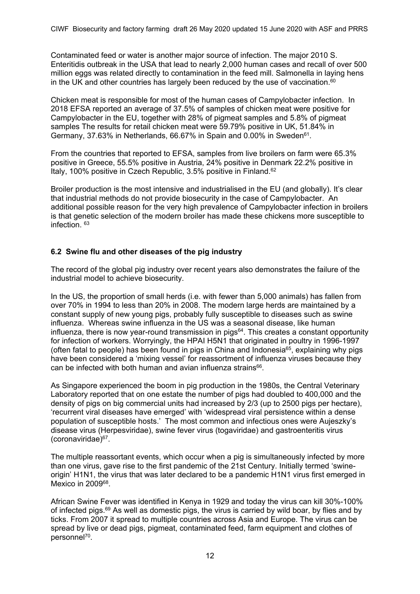Contaminated feed or water is another major source of infection. The major 2010 S. Enteritidis outbreak in the USA that lead to nearly 2,000 human cases and recall of over 500 million eggs was related directly to contamination in the feed mill. Salmonella in laying hens in the UK and other countries has largely been reduced by the use of vaccination. $60$ 

Chicken meat is responsible for most of the human cases of Campylobacter infection. In 2018 EFSA reported an average of 37.5% of samples of chicken meat were positive for Campylobacter in the EU, together with 28% of pigmeat samples and 5.8% of pigmeat samples The results for retail chicken meat were 59.79% positive in UK, 51.84% in Germany, 37.63% in Netherlands, 66.67% in Spain and 0.00% in Sweden<sup>61</sup>.

From the countries that reported to EFSA, samples from live broilers on farm were 65.3% positive in Greece, 55.5% positive in Austria, 24% positive in Denmark 22.2% positive in Italy, 100% positive in Czech Republic, 3.5% positive in Finland.<sup>62</sup>

Broiler production is the most intensive and industrialised in the EU (and globally). It's clear that industrial methods do not provide biosecurity in the case of Campylobacter. An additional possible reason for the very high prevalence of Campylobacter infection in broilers is that genetic selection of the modern broiler has made these chickens more susceptible to infection. 63

### **6.2 Swine flu and other diseases of the pig industry**

The record of the global pig industry over recent years also demonstrates the failure of the industrial model to achieve biosecurity.

In the US, the proportion of small herds (i.e. with fewer than 5,000 animals) has fallen from over 70% in 1994 to less than 20% in 2008. The modern large herds are maintained by a constant supply of new young pigs, probably fully susceptible to diseases such as swine influenza. Whereas swine influenza in the US was a seasonal disease, like human influenza, there is now year-round transmission in pigs<sup>64</sup>. This creates a constant opportunity for infection of workers. Worryingly, the HPAI H5N1 that originated in poultry in 1996-1997 (often fatal to people) has been found in pigs in China and Indonesia $65$ , explaining why pigs have been considered a 'mixing vessel' for reassortment of influenza viruses because they can be infected with both human and avian influenza strains $66$ .

As Singapore experienced the boom in pig production in the 1980s, the Central Veterinary Laboratory reported that on one estate the number of pigs had doubled to 400,000 and the density of pigs on big commercial units had increased by 2/3 (up to 2500 pigs per hectare), 'recurrent viral diseases have emerged' with 'widespread viral persistence within a dense population of susceptible hosts.' The most common and infectious ones were Aujeszky's disease virus (Herpesviridae), swine fever virus (togaviridae) and gastroenteritis virus (coronaviridae)67.

The multiple reassortant events, which occur when a pig is simultaneously infected by more than one virus, gave rise to the first pandemic of the 21st Century. Initially termed 'swineorigin' H1N1, the virus that was later declared to be a pandemic H1N1 virus first emerged in Mexico in 2009<sup>68</sup>.

African Swine Fever was identified in Kenya in 1929 and today the virus can kill 30%-100% of infected pigs.<sup>69</sup> As well as domestic pigs, the virus is carried by wild boar, by flies and by ticks. From 2007 it spread to multiple countries across Asia and Europe. The virus can be spread by live or dead pigs, pigmeat, contaminated feed, farm equipment and clothes of personnel70.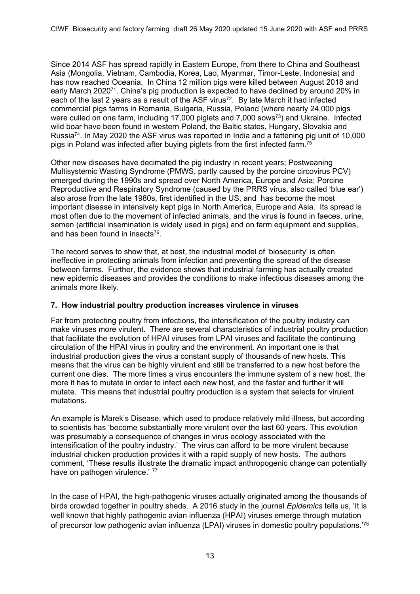Since 2014 ASF has spread rapidly in Eastern Europe, from there to China and Southeast Asia (Mongolia, Vietnam, Cambodia, Korea, Lao, Myanmar, Timor-Leste, Indonesia) and has now reached Oceania. In China 12 million pigs were killed between August 2018 and early March 2020<sup>71</sup>. China's pig production is expected to have declined by around 20% in each of the last 2 years as a result of the ASF virus<sup>72</sup>. By late March it had infected commercial pigs farms in Romania, Bulgaria, Russia, Poland (where nearly 24,000 pigs were culled on one farm, including 17,000 piglets and 7,000 sows73) and Ukraine. Infected wild boar have been found in western Poland, the Baltic states, Hungary, Slovakia and Russia74. In May 2020 the ASF virus was reported in India and a fattening pig unit of 10,000 pigs in Poland was infected after buying piglets from the first infected farm.75

Other new diseases have decimated the pig industry in recent years; Postweaning Multisystemic Wasting Syndrome (PMWS, partly caused by the porcine circovirus PCV) emerged during the 1990s and spread over North America, Europe and Asia; Porcine Reproductive and Respiratory Syndrome (caused by the PRRS virus, also called 'blue ear') also arose from the late 1980s, first identified in the US, and has become the most important disease in intensively kept pigs in North America, Europe and Asia. Its spread is most often due to the movement of infected animals, and the virus is found in faeces, urine, semen (artificial insemination is widely used in pigs) and on farm equipment and supplies, and has been found in insects76.

The record serves to show that, at best, the industrial model of 'biosecurity' is often ineffective in protecting animals from infection and preventing the spread of the disease between farms. Further, the evidence shows that industrial farming has actually created new epidemic diseases and provides the conditions to make infectious diseases among the animals more likely.

### **7. How industrial poultry production increases virulence in viruses**

Far from protecting poultry from infections, the intensification of the poultry industry can make viruses more virulent. There are several characteristics of industrial poultry production that facilitate the evolution of HPAI viruses from LPAI viruses and facilitate the continuing circulation of the HPAI virus in poultry and the environment. An important one is that industrial production gives the virus a constant supply of thousands of new hosts. This means that the virus can be highly virulent and still be transferred to a new host before the current one dies. The more times a virus encounters the immune system of a new host, the more it has to mutate in order to infect each new host, and the faster and further it will mutate. This means that industrial poultry production is a system that selects for virulent mutations.

An example is Marek's Disease, which used to produce relatively mild illness, but according to scientists has 'become substantially more virulent over the last 60 years. This evolution was presumably a consequence of changes in virus ecology associated with the intensification of the poultry industry.' The virus can afford to be more virulent because industrial chicken production provides it with a rapid supply of new hosts. The authors comment, 'These results illustrate the dramatic impact anthropogenic change can potentially have on pathogen virulence.' 77

In the case of HPAI, the high-pathogenic viruses actually originated among the thousands of birds crowded together in poultry sheds. A 2016 study in the journal *Epidemics* tells us, 'It is well known that highly pathogenic avian influenza (HPAI) viruses emerge through mutation of precursor low pathogenic avian influenza (LPAI) viruses in domestic poultry populations.'78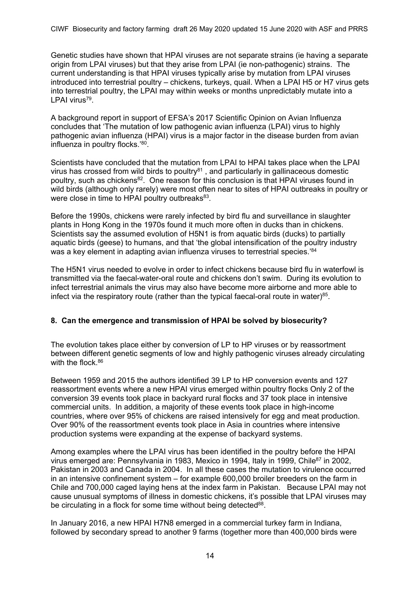Genetic studies have shown that HPAI viruses are not separate strains (ie having a separate origin from LPAI viruses) but that they arise from LPAI (ie non-pathogenic) strains. The current understanding is that HPAI viruses typically arise by mutation from LPAI viruses introduced into terrestrial poultry – chickens, turkeys, quail. When a LPAI H5 or H7 virus gets into terrestrial poultry, the LPAI may within weeks or months unpredictably mutate into a LPAI virus<sup>79</sup>.

A background report in support of EFSA's 2017 Scientific Opinion on Avian Influenza concludes that 'The mutation of low pathogenic avian influenza (LPAI) virus to highly pathogenic avian influenza (HPAI) virus is a major factor in the disease burden from avian influenza in poultry flocks.'80.

Scientists have concluded that the mutation from LPAI to HPAI takes place when the LPAI virus has crossed from wild birds to poultry $81$ , and particularly in gallinaceous domestic poultry, such as chickens<sup>82</sup>. One reason for this conclusion is that HPAI viruses found in wild birds (although only rarely) were most often near to sites of HPAI outbreaks in poultry or were close in time to HPAI poultry outbreaks<sup>83</sup>.

Before the 1990s, chickens were rarely infected by bird flu and surveillance in slaughter plants in Hong Kong in the 1970s found it much more often in ducks than in chickens. Scientists say the assumed evolution of H5N1 is from aquatic birds (ducks) to partially aquatic birds (geese) to humans, and that 'the global intensification of the poultry industry was a key element in adapting avian influenza viruses to terrestrial species.<sup>'84</sup>

The H5N1 virus needed to evolve in order to infect chickens because bird flu in waterfowl is transmitted via the faecal-water-oral route and chickens don't swim. During its evolution to infect terrestrial animals the virus may also have become more airborne and more able to infect via the respiratory route (rather than the typical faecal-oral route in water) $85$ .

### **8. Can the emergence and transmission of HPAI be solved by biosecurity?**

The evolution takes place either by conversion of LP to HP viruses or by reassortment between different genetic segments of low and highly pathogenic viruses already circulating with the flock.<sup>86</sup>

Between 1959 and 2015 the authors identified 39 LP to HP conversion events and 127 reassortment events where a new HPAI virus emerged within poultry flocks Only 2 of the conversion 39 events took place in backyard rural flocks and 37 took place in intensive commercial units. In addition, a majority of these events took place in high-income countries, where over 95% of chickens are raised intensively for egg and meat production. Over 90% of the reassortment events took place in Asia in countries where intensive production systems were expanding at the expense of backyard systems.

Among examples where the LPAI virus has been identified in the poultry before the HPAI virus emerged are: Pennsylvania in 1983, Mexico in 1994, Italy in 1999, Chile<sup>87</sup> in 2002, Pakistan in 2003 and Canada in 2004. In all these cases the mutation to virulence occurred in an intensive confinement system – for example 600,000 broiler breeders on the farm in Chile and 700,000 caged laying hens at the index farm in Pakistan. Because LPAI may not cause unusual symptoms of illness in domestic chickens, it's possible that LPAI viruses may be circulating in a flock for some time without being detected<sup>88</sup>.

In January 2016, a new HPAI H7N8 emerged in a commercial turkey farm in Indiana, followed by secondary spread to another 9 farms (together more than 400,000 birds were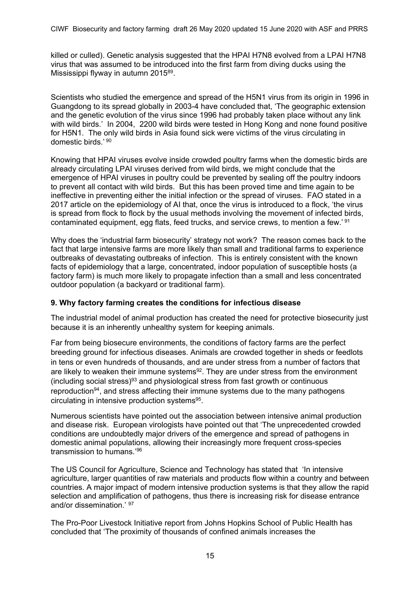killed or culled). Genetic analysis suggested that the HPAI H7N8 evolved from a LPAI H7N8 virus that was assumed to be introduced into the first farm from diving ducks using the Mississippi flyway in autumn 201589.

Scientists who studied the emergence and spread of the H5N1 virus from its origin in 1996 in Guangdong to its spread globally in 2003-4 have concluded that, 'The geographic extension and the genetic evolution of the virus since 1996 had probably taken place without any link with wild birds.' In 2004, 2200 wild birds were tested in Hong Kong and none found positive for H5N1. The only wild birds in Asia found sick were victims of the virus circulating in domestic birds.' 90

Knowing that HPAI viruses evolve inside crowded poultry farms when the domestic birds are already circulating LPAI viruses derived from wild birds, we might conclude that the emergence of HPAI viruses in poultry could be prevented by sealing off the poultry indoors to prevent all contact with wild birds. But this has been proved time and time again to be ineffective in preventing either the initial infection or the spread of viruses. FAO stated in a 2017 article on the epidemiology of AI that, once the virus is introduced to a flock, 'the virus is spread from flock to flock by the usual methods involving the movement of infected birds, contaminated equipment, egg flats, feed trucks, and service crews, to mention a few.' 91

Why does the 'industrial farm biosecurity' strategy not work? The reason comes back to the fact that large intensive farms are more likely than small and traditional farms to experience outbreaks of devastating outbreaks of infection. This is entirely consistent with the known facts of epidemiology that a large, concentrated, indoor population of susceptible hosts (a factory farm) is much more likely to propagate infection than a small and less concentrated outdoor population (a backyard or traditional farm).

### **9. Why factory farming creates the conditions for infectious disease**

The industrial model of animal production has created the need for protective biosecurity just because it is an inherently unhealthy system for keeping animals.

Far from being biosecure environments, the conditions of factory farms are the perfect breeding ground for infectious diseases. Animals are crowded together in sheds or feedlots in tens or even hundreds of thousands, and are under stress from a number of factors that are likely to weaken their immune systems $92$ . They are under stress from the environment (including social stress) $93$  and physiological stress from fast growth or continuous reproduction<sup>94</sup>, and stress affecting their immune systems due to the many pathogens circulating in intensive production systems95.

Numerous scientists have pointed out the association between intensive animal production and disease risk. European virologists have pointed out that 'The unprecedented crowded conditions are undoubtedly major drivers of the emergence and spread of pathogens in domestic animal populations, allowing their increasingly more frequent cross-species transmission to humans.'96

The US Council for Agriculture, Science and Technology has stated that 'In intensive agriculture, larger quantities of raw materials and products flow within a country and between countries. A major impact of modern intensive production systems is that they allow the rapid selection and amplification of pathogens, thus there is increasing risk for disease entrance and/or dissemination.' 97

The Pro-Poor Livestock Initiative report from Johns Hopkins School of Public Health has concluded that 'The proximity of thousands of confined animals increases the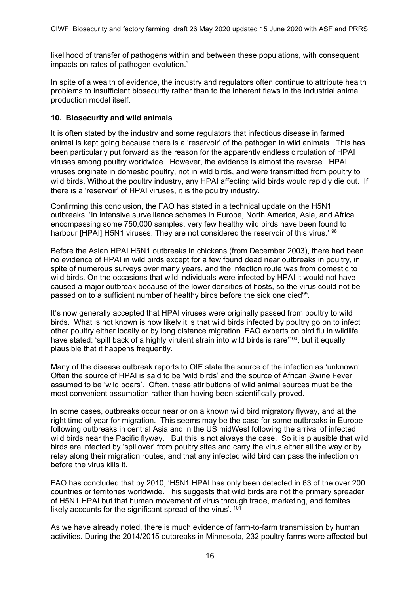likelihood of transfer of pathogens within and between these populations, with consequent impacts on rates of pathogen evolution.'

In spite of a wealth of evidence, the industry and regulators often continue to attribute health problems to insufficient biosecurity rather than to the inherent flaws in the industrial animal production model itself.

#### **10. Biosecurity and wild animals**

It is often stated by the industry and some regulators that infectious disease in farmed animal is kept going because there is a 'reservoir' of the pathogen in wild animals. This has been particularly put forward as the reason for the apparently endless circulation of HPAI viruses among poultry worldwide. However, the evidence is almost the reverse. HPAI viruses originate in domestic poultry, not in wild birds, and were transmitted from poultry to wild birds. Without the poultry industry, any HPAI affecting wild birds would rapidly die out. If there is a 'reservoir' of HPAI viruses, it is the poultry industry.

Confirming this conclusion, the FAO has stated in a technical update on the H5N1 outbreaks, 'In intensive surveillance schemes in Europe, North America, Asia, and Africa encompassing some 750,000 samples, very few healthy wild birds have been found to harbour [HPAI] H5N1 viruses. They are not considered the reservoir of this virus.' 98

Before the Asian HPAI H5N1 outbreaks in chickens (from December 2003), there had been no evidence of HPAI in wild birds except for a few found dead near outbreaks in poultry, in spite of numerous surveys over many years, and the infection route was from domestic to wild birds. On the occasions that wild individuals were infected by HPAI it would not have caused a major outbreak because of the lower densities of hosts, so the virus could not be passed on to a sufficient number of healthy birds before the sick one died<sup>99</sup>.

It's now generally accepted that HPAI viruses were originally passed from poultry to wild birds. What is not known is how likely it is that wild birds infected by poultry go on to infect other poultry either locally or by long distance migration. FAO experts on bird flu in wildlife have stated: 'spill back of a highly virulent strain into wild birds is rare'<sup>100</sup>, but it equally plausible that it happens frequently.

Many of the disease outbreak reports to OIE state the source of the infection as 'unknown'. Often the source of HPAI is said to be 'wild birds' and the source of African Swine Fever assumed to be 'wild boars'. Often, these attributions of wild animal sources must be the most convenient assumption rather than having been scientifically proved.

In some cases, outbreaks occur near or on a known wild bird migratory flyway, and at the right time of year for migration. This seems may be the case for some outbreaks in Europe following outbreaks in central Asia and in the US midWest following the arrival of infected wild birds near the Pacific flyway. But this is not always the case. So it is plausible that wild birds are infected by 'spillover' from poultry sites and carry the virus either all the way or by relay along their migration routes, and that any infected wild bird can pass the infection on before the virus kills it.

FAO has concluded that by 2010, 'H5N1 HPAI has only been detected in 63 of the over 200 countries or territories worldwide. This suggests that wild birds are not the primary spreader of H5N1 HPAI but that human movement of virus through trade, marketing, and fomites likely accounts for the significant spread of the virus'. 101

As we have already noted, there is much evidence of farm-to-farm transmission by human activities. During the 2014/2015 outbreaks in Minnesota, 232 poultry farms were affected but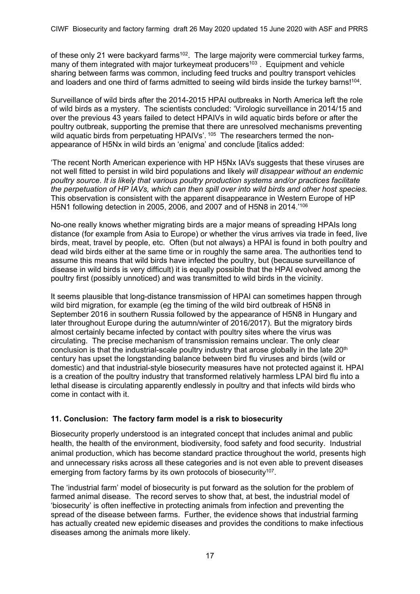of these only 21 were backyard farms<sup>102</sup>. The large majority were commercial turkey farms, many of them integrated with major turkeymeat producers<sup>103</sup>. Equipment and vehicle sharing between farms was common, including feed trucks and poultry transport vehicles and loaders and one third of farms admitted to seeing wild birds inside the turkey barns!<sup>104</sup>.

Surveillance of wild birds after the 2014-2015 HPAI outbreaks in North America left the role of wild birds as a mystery. The scientists concluded: 'Virologic surveillance in 2014/15 and over the previous 43 years failed to detect HPAIVs in wild aquatic birds before or after the poultry outbreak, supporting the premise that there are unresolved mechanisms preventing wild aquatic birds from perpetuating HPAIVs'. <sup>105</sup> The researchers termed the nonappearance of H5Nx in wild birds an 'enigma' and conclude [italics added:

'The recent North American experience with HP H5Nx IAVs suggests that these viruses are not well fitted to persist in wild bird populations and likely *will disappear without an endemic poultry source*. *It is likely that various poultry production systems and/or practices facilitate the perpetuation of HP IAVs, which can then spill over into wild birds and other host species.* This observation is consistent with the apparent disappearance in Western Europe of HP H5N1 following detection in 2005, 2006, and 2007 and of H5N8 in 2014.'106

No-one really knows whether migrating birds are a major means of spreading HPAIs long distance (for example from Asia to Europe) or whether the virus arrives via trade in feed, live birds, meat, travel by people, etc. Often (but not always) a HPAI is found in both poultry and dead wild birds either at the same time or in roughly the same area. The authorities tend to assume this means that wild birds have infected the poultry, but (because surveillance of disease in wild birds is very difficult) it is equally possible that the HPAI evolved among the poultry first (possibly unnoticed) and was transmitted to wild birds in the vicinity.

It seems plausible that long-distance transmission of HPAI can sometimes happen through wild bird migration, for example (eg the timing of the wild bird outbreak of H5N8 in September 2016 in southern Russia followed by the appearance of H5N8 in Hungary and later throughout Europe during the autumn/winter of 2016/2017). But the migratory birds almost certainly became infected by contact with poultry sites where the virus was circulating. The precise mechanism of transmission remains unclear. The only clear conclusion is that the industrial-scale poultry industry that arose globally in the late  $20<sup>th</sup>$ century has upset the longstanding balance between bird flu viruses and birds (wild or domestic) and that industrial-style biosecurity measures have not protected against it. HPAI is a creation of the poultry industry that transformed relatively harmless LPAI bird flu into a lethal disease is circulating apparently endlessly in poultry and that infects wild birds who come in contact with it.

### **11. Conclusion: The factory farm model is a risk to biosecurity**

Biosecurity properly understood is an integrated concept that includes animal and public health, the health of the environment, biodiversity, food safety and food security. Industrial animal production, which has become standard practice throughout the world, presents high and unnecessary risks across all these categories and is not even able to prevent diseases emerging from factory farms by its own protocols of biosecurity<sup>107</sup>.

The 'industrial farm' model of biosecurity is put forward as the solution for the problem of farmed animal disease. The record serves to show that, at best, the industrial model of 'biosecurity' is often ineffective in protecting animals from infection and preventing the spread of the disease between farms. Further, the evidence shows that industrial farming has actually created new epidemic diseases and provides the conditions to make infectious diseases among the animals more likely.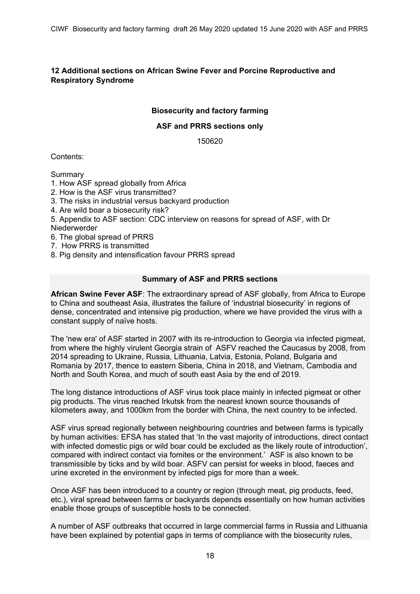## **12 Additional sections on African Swine Fever and Porcine Reproductive and Respiratory Syndrome**

### **Biosecurity and factory farming**

### **ASF and PRRS sections only**

150620

Contents:

Summary

- 1. How ASF spread globally from Africa
- 2. How is the ASF virus transmitted?
- 3. The risks in industrial versus backyard production
- 4. Are wild boar a biosecurity risk?

5. Appendix to ASF section: CDC interview on reasons for spread of ASF, with Dr Niederwerder

6. The global spread of PRRS

- 7. How PRRS is transmitted
- 8. Pig density and intensification favour PRRS spread

#### **Summary of ASF and PRRS sections**

**African Swine Fever ASF**: The extraordinary spread of ASF globally, from Africa to Europe to China and southeast Asia, illustrates the failure of 'industrial biosecurity' in regions of dense, concentrated and intensive pig production, where we have provided the virus with a constant supply of naïve hosts.

The 'new era' of ASF started in 2007 with its re-introduction to Georgia via infected pigmeat, from where the highly virulent Georgia strain of ASFV reached the Caucasus by 2008, from 2014 spreading to Ukraine, Russia, Lithuania, Latvia, Estonia, Poland, Bulgaria and Romania by 2017, thence to eastern Siberia, China in 2018, and Vietnam, Cambodia and North and South Korea, and much of south east Asia by the end of 2019.

The long distance introductions of ASF virus took place mainly in infected pigmeat or other pig products. The virus reached Irkutsk from the nearest known source thousands of kilometers away, and 1000km from the border with China, the next country to be infected.

ASF virus spread regionally between neighbouring countries and between farms is typically by human activities: EFSA has stated that 'In the vast majority of introductions, direct contact with infected domestic pigs or wild boar could be excluded as the likely route of introduction'. compared with indirect contact via fomites or the environment.' ASF is also known to be transmissible by ticks and by wild boar. ASFV can persist for weeks in blood, faeces and urine excreted in the environment by infected pigs for more than a week.

Once ASF has been introduced to a country or region (through meat, pig products, feed, etc.), viral spread between farms or backyards depends essentially on how human activities enable those groups of susceptible hosts to be connected.

A number of ASF outbreaks that occurred in large commercial farms in Russia and Lithuania have been explained by potential gaps in terms of compliance with the biosecurity rules,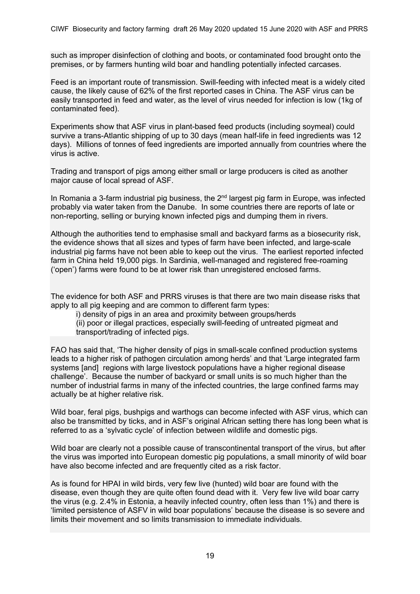such as improper disinfection of clothing and boots, or contaminated food brought onto the premises, or by farmers hunting wild boar and handling potentially infected carcases.

Feed is an important route of transmission. Swill-feeding with infected meat is a widely cited cause, the likely cause of 62% of the first reported cases in China. The ASF virus can be easily transported in feed and water, as the level of virus needed for infection is low (1kg of contaminated feed).

Experiments show that ASF virus in plant-based feed products (including soymeal) could survive a trans-Atlantic shipping of up to 30 days (mean half-life in feed ingredients was 12 days). Millions of tonnes of feed ingredients are imported annually from countries where the virus is active.

Trading and transport of pigs among either small or large producers is cited as another major cause of local spread of ASF.

In Romania a 3-farm industrial pig business, the  $2<sup>nd</sup>$  largest pig farm in Europe, was infected probably via water taken from the Danube. In some countries there are reports of late or non-reporting, selling or burying known infected pigs and dumping them in rivers.

Although the authorities tend to emphasise small and backyard farms as a biosecurity risk, the evidence shows that all sizes and types of farm have been infected, and large-scale industrial pig farms have not been able to keep out the virus. The earliest reported infected farm in China held 19,000 pigs. In Sardinia, well-managed and registered free-roaming ('open') farms were found to be at lower risk than unregistered enclosed farms.

The evidence for both ASF and PRRS viruses is that there are two main disease risks that apply to all pig keeping and are common to different farm types:

i) density of pigs in an area and proximity between groups/herds

(ii) poor or illegal practices, especially swill-feeding of untreated pigmeat and transport/trading of infected pigs.

FAO has said that, 'The higher density of pigs in small-scale confined production systems leads to a higher risk of pathogen circulation among herds' and that 'Large integrated farm systems [and] regions with large livestock populations have a higher regional disease challenge'. Because the number of backyard or small units is so much higher than the number of industrial farms in many of the infected countries, the large confined farms may actually be at higher relative risk.

Wild boar, feral pigs, bushpigs and warthogs can become infected with ASF virus, which can also be transmitted by ticks, and in ASF's original African setting there has long been what is referred to as a 'sylvatic cycle' of infection between wildlife and domestic pigs.

Wild boar are clearly not a possible cause of transcontinental transport of the virus, but after the virus was imported into European domestic pig populations, a small minority of wild boar have also become infected and are frequently cited as a risk factor.

As is found for HPAI in wild birds, very few live (hunted) wild boar are found with the disease, even though they are quite often found dead with it. Very few live wild boar carry the virus (e.g. 2.4% in Estonia, a heavily infected country, often less than 1%) and there is 'limited persistence of ASFV in wild boar populations' because the disease is so severe and limits their movement and so limits transmission to immediate individuals.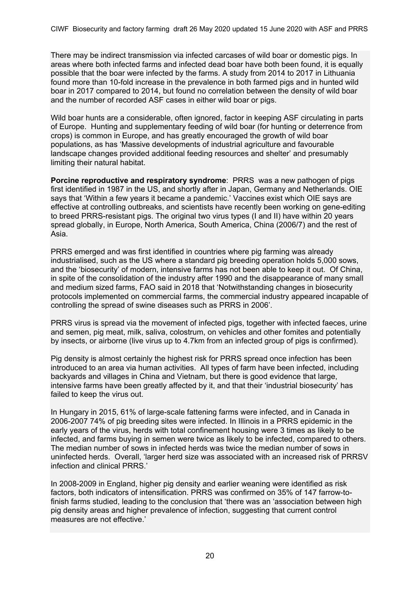There may be indirect transmission via infected carcases of wild boar or domestic pigs. In areas where both infected farms and infected dead boar have both been found, it is equally possible that the boar were infected by the farms. A study from 2014 to 2017 in Lithuania found more than 10-fold increase in the prevalence in both farmed pigs and in hunted wild boar in 2017 compared to 2014, but found no correlation between the density of wild boar and the number of recorded ASF cases in either wild boar or pigs.

Wild boar hunts are a considerable, often ignored, factor in keeping ASF circulating in parts of Europe. Hunting and supplementary feeding of wild boar (for hunting or deterrence from crops) is common in Europe, and has greatly encouraged the growth of wild boar populations, as has 'Massive developments of industrial agriculture and favourable landscape changes provided additional feeding resources and shelter' and presumably limiting their natural habitat.

**Porcine reproductive and respiratory syndrome**: PRRS was a new pathogen of pigs first identified in 1987 in the US, and shortly after in Japan, Germany and Netherlands. OIE says that 'Within a few years it became a pandemic.' Vaccines exist which OIE says are effective at controlling outbreaks, and scientists have recently been working on gene-editing to breed PRRS-resistant pigs. The original two virus types (I and II) have within 20 years spread globally, in Europe, North America, South America, China (2006/7) and the rest of Asia.

PRRS emerged and was first identified in countries where pig farming was already industrialised, such as the US where a standard pig breeding operation holds 5,000 sows, and the 'biosecurity' of modern, intensive farms has not been able to keep it out. Of China, in spite of the consolidation of the industry after 1990 and the disappearance of many small and medium sized farms, FAO said in 2018 that 'Notwithstanding changes in biosecurity protocols implemented on commercial farms, the commercial industry appeared incapable of controlling the spread of swine diseases such as PRRS in 2006'.

PRRS virus is spread via the movement of infected pigs, together with infected faeces, urine and semen, pig meat, milk, saliva, colostrum, on vehicles and other fomites and potentially by insects, or airborne (live virus up to 4.7km from an infected group of pigs is confirmed).

Pig density is almost certainly the highest risk for PRRS spread once infection has been introduced to an area via human activities. All types of farm have been infected, including backyards and villages in China and Vietnam, but there is good evidence that large, intensive farms have been greatly affected by it, and that their 'industrial biosecurity' has failed to keep the virus out.

In Hungary in 2015, 61% of large-scale fattening farms were infected, and in Canada in 2006-2007 74% of pig breeding sites were infected. In Illinois in a PRRS epidemic in the early years of the virus, herds with total confinement housing were 3 times as likely to be infected, and farms buying in semen were twice as likely to be infected, compared to others. The median number of sows in infected herds was twice the median number of sows in uninfected herds. Overall, 'larger herd size was associated with an increased risk of PRRSV infection and clinical PRRS.'

In 2008-2009 in England, higher pig density and earlier weaning were identified as risk factors, both indicators of intensification. PRRS was confirmed on 35% of 147 farrow-tofinish farms studied, leading to the conclusion that 'there was an 'association between high pig density areas and higher prevalence of infection, suggesting that current control measures are not effective.'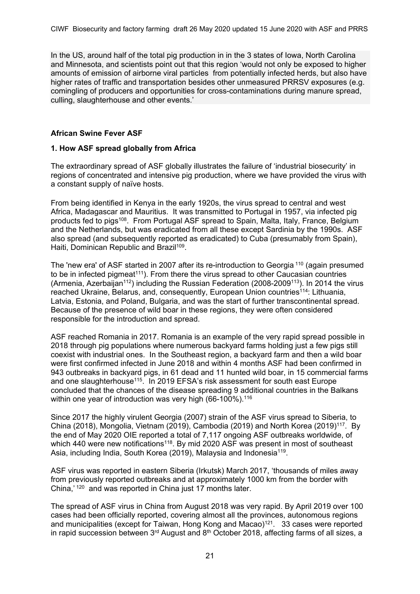In the US, around half of the total pig production in in the 3 states of Iowa, North Carolina and Minnesota, and scientists point out that this region 'would not only be exposed to higher amounts of emission of airborne viral particles from potentially infected herds, but also have higher rates of traffic and transportation besides other unmeasured PRRSV exposures (e.g. comingling of producers and opportunities for cross-contaminations during manure spread, culling, slaughterhouse and other events.'

### **African Swine Fever ASF**

### **1. How ASF spread globally from Africa**

The extraordinary spread of ASF globally illustrates the failure of 'industrial biosecurity' in regions of concentrated and intensive pig production, where we have provided the virus with a constant supply of naïve hosts.

From being identified in Kenya in the early 1920s, the virus spread to central and west Africa, Madagascar and Mauritius. It was transmitted to Portugal in 1957, via infected pig products fed to pigs108. From Portugal ASF spread to Spain, Malta, Italy, France, Belgium and the Netherlands, but was eradicated from all these except Sardinia by the 1990s. ASF also spread (and subsequently reported as eradicated) to Cuba (presumably from Spain), Haiti, Dominican Republic and Brazil<sup>109</sup>.

The 'new era' of ASF started in 2007 after its re-introduction to Georgia 110 (again presumed to be in infected pigmeat<sup> $111$ </sup>). From there the virus spread to other Caucasian countries (Armenia, Azerbaijan112) including the Russian Federation (2008-2009113). In 2014 the virus reached Ukraine, Belarus, and, consequently, European Union countries<sup>114</sup>; Lithuania, Latvia, Estonia, and Poland, Bulgaria, and was the start of further transcontinental spread. Because of the presence of wild boar in these regions, they were often considered responsible for the introduction and spread.

ASF reached Romania in 2017. Romania is an example of the very rapid spread possible in 2018 through pig populations where numerous backyard farms holding just a few pigs still coexist with industrial ones. In the Southeast region, a backyard farm and then a wild boar were first confirmed infected in June 2018 and within 4 months ASF had been confirmed in 943 outbreaks in backyard pigs, in 61 dead and 11 hunted wild boar, in 15 commercial farms and one slaughterhouse<sup>115</sup>. In 2019 EFSA's risk assessment for south east Europe concluded that the chances of the disease spreading 9 additional countries in the Balkans within one year of introduction was very high  $(66-100\%)$ .<sup>116</sup>

Since 2017 the highly virulent Georgia (2007) strain of the ASF virus spread to Siberia, to China (2018), Mongolia, Vietnam (2019), Cambodia (2019) and North Korea (2019)117. By the end of May 2020 OIE reported a total of 7,117 ongoing ASF outbreaks worldwide, of which 440 were new notifications<sup>118</sup>. By mid 2020 ASF was present in most of southeast Asia, including India, South Korea (2019), Malaysia and Indonesia<sup>119</sup>.

ASF virus was reported in eastern Siberia (Irkutsk) March 2017, 'thousands of miles away from previously reported outbreaks and at approximately 1000 km from the border with China,' 120 and was reported in China just 17 months later.

The spread of ASF virus in China from August 2018 was very rapid. By April 2019 over 100 cases had been officially reported, covering almost all the provinces, autonomous regions and municipalities (except for Taiwan, Hong Kong and Macao)121. 33 cases were reported in rapid succession between  $3<sup>rd</sup>$  August and  $8<sup>th</sup>$  October 2018, affecting farms of all sizes, a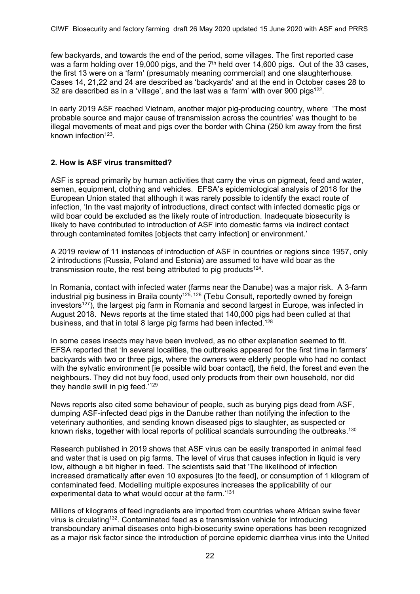few backyards, and towards the end of the period, some villages. The first reported case was a farm holding over 19,000 pigs, and the  $7<sup>th</sup>$  held over 14,600 pigs. Out of the 33 cases, the first 13 were on a 'farm' (presumably meaning commercial) and one slaughterhouse. Cases 14, 21,22 and 24 are described as 'backyards' and at the end in October cases 28 to 32 are described as in a 'village', and the last was a 'farm' with over 900 pigs<sup>122</sup>.

In early 2019 ASF reached Vietnam, another major pig-producing country, where 'The most probable source and major cause of transmission across the countries' was thought to be illegal movements of meat and pigs over the border with China (250 km away from the first known infection<sup>123</sup>.

### **2. How is ASF virus transmitted?**

ASF is spread primarily by human activities that carry the virus on pigmeat, feed and water, semen, equipment, clothing and vehicles. EFSA's epidemiological analysis of 2018 for the European Union stated that although it was rarely possible to identify the exact route of infection, 'In the vast majority of introductions, direct contact with infected domestic pigs or wild boar could be excluded as the likely route of introduction. Inadequate biosecurity is likely to have contributed to introduction of ASF into domestic farms via indirect contact through contaminated fomites [objects that carry infection] or environment.'

A 2019 review of 11 instances of introduction of ASF in countries or regions since 1957, only 2 introductions (Russia, Poland and Estonia) are assumed to have wild boar as the transmission route, the rest being attributed to pig products<sup>124</sup>.

In Romania, contact with infected water (farms near the Danube) was a major risk. A 3-farm industrial pig business in Braila county<sup>125, 126</sup> (Tebu Consult, reportedly owned by foreign investors<sup>127</sup>), the largest pig farm in Romania and second largest in Europe, was infected in August 2018. News reports at the time stated that 140,000 pigs had been culled at that business, and that in total 8 large pig farms had been infected.<sup>128</sup>

In some cases insects may have been involved, as no other explanation seemed to fit. EFSA reported that 'In several localities, the outbreaks appeared for the first time in farmers' backyards with two or three pigs, where the owners were elderly people who had no contact with the sylvatic environment lie possible wild boar contact), the field, the forest and even the neighbours. They did not buy food, used only products from their own household, nor did they handle swill in pig feed.'129

News reports also cited some behaviour of people, such as burying pigs dead from ASF, dumping ASF-infected dead pigs in the Danube rather than notifying the infection to the veterinary authorities, and sending known diseased pigs to slaughter, as suspected or known risks, together with local reports of political scandals surrounding the outbreaks.<sup>130</sup>

Research published in 2019 shows that ASF virus can be easily transported in animal feed and water that is used on pig farms. The level of virus that causes infection in liquid is very low, although a bit higher in feed. The scientists said that 'The likelihood of infection increased dramatically after even 10 exposures [to the feed], or consumption of 1 kilogram of contaminated feed. Modelling multiple exposures increases the applicability of our experimental data to what would occur at the farm.'131

Millions of kilograms of feed ingredients are imported from countries where African swine fever virus is circulating132. Contaminated feed as a transmission vehicle for introducing transboundary animal diseases onto high-biosecurity swine operations has been recognized as a major risk factor since the introduction of porcine epidemic diarrhea virus into the United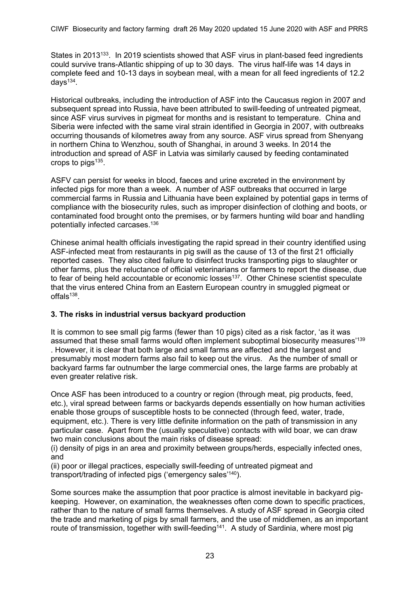States in 2013<sup>133</sup>. In 2019 scientists showed that ASF virus in plant-based feed ingredients could survive trans-Atlantic shipping of up to 30 days. The virus half-life was 14 days in complete feed and 10-13 days in soybean meal, with a mean for all feed ingredients of 12.2  $davs<sup>134</sup>$ .

Historical outbreaks, including the introduction of ASF into the Caucasus region in 2007 and subsequent spread into Russia, have been attributed to swill-feeding of untreated pigmeat, since ASF virus survives in pigmeat for months and is resistant to temperature. China and Siberia were infected with the same viral strain identified in Georgia in 2007, with outbreaks occurring thousands of kilometres away from any source. ASF virus spread from Shenyang in northern China to Wenzhou, south of Shanghai, in around 3 weeks. In 2014 the introduction and spread of ASF in Latvia was similarly caused by feeding contaminated crops to pigs $135$ .

ASFV can persist for weeks in blood, faeces and urine excreted in the environment by infected pigs for more than a week. A number of ASF outbreaks that occurred in large commercial farms in Russia and Lithuania have been explained by potential gaps in terms of compliance with the biosecurity rules, such as improper disinfection of clothing and boots, or contaminated food brought onto the premises, or by farmers hunting wild boar and handling potentially infected carcases.136

Chinese animal health officials investigating the rapid spread in their country identified using ASF-infected meat from restaurants in pig swill as the cause of 13 of the first 21 officially reported cases. They also cited failure to disinfect trucks transporting pigs to slaughter or other farms, plus the reluctance of official veterinarians or farmers to report the disease, due to fear of being held accountable or economic losses<sup>137</sup>. Other Chinese scientist speculate that the virus entered China from an Eastern European country in smuggled pigmeat or  $offals<sup>138</sup>$ .

# **3. The risks in industrial versus backyard production**

It is common to see small pig farms (fewer than 10 pigs) cited as a risk factor, 'as it was assumed that these small farms would often implement suboptimal biosecurity measures'<sup>139</sup> . However, it is clear that both large and small farms are affected and the largest and presumably most modern farms also fail to keep out the virus. As the number of small or backyard farms far outnumber the large commercial ones, the large farms are probably at even greater relative risk.

Once ASF has been introduced to a country or region (through meat, pig products, feed, etc.), viral spread between farms or backyards depends essentially on how human activities enable those groups of susceptible hosts to be connected (through feed, water, trade, equipment, etc.). There is very little definite information on the path of transmission in any particular case. Apart from the (usually speculative) contacts with wild boar, we can draw two main conclusions about the main risks of disease spread:

(i) density of pigs in an area and proximity between groups/herds, especially infected ones, and

(ii) poor or illegal practices, especially swill-feeding of untreated pigmeat and transport/trading of infected pigs ('emergency sales'140).

Some sources make the assumption that poor practice is almost inevitable in backyard pigkeeping. However, on examination, the weaknesses often come down to specific practices, rather than to the nature of small farms themselves. A study of ASF spread in Georgia cited the trade and marketing of pigs by small farmers, and the use of middlemen, as an important route of transmission, together with swill-feeding<sup>141</sup>. A study of Sardinia, where most pig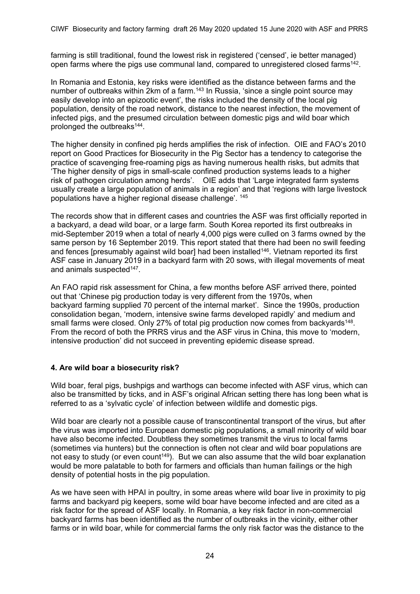farming is still traditional, found the lowest risk in registered ('censed', ie better managed) open farms where the pigs use communal land, compared to unregistered closed farms<sup>142</sup>.

In Romania and Estonia, key risks were identified as the distance between farms and the number of outbreaks within 2km of a farm.<sup>143</sup> In Russia, 'since a single point source may easily develop into an epizootic event', the risks included the density of the local pig population, density of the road network, distance to the nearest infection, the movement of infected pigs, and the presumed circulation between domestic pigs and wild boar which prolonged the outbreaks144.

The higher density in confined pig herds amplifies the risk of infection. OIE and FAO's 2010 report on Good Practices for Biosecurity in the Pig Sector has a tendency to categorise the practice of scavenging free-roaming pigs as having numerous health risks, but admits that 'The higher density of pigs in small-scale confined production systems leads to a higher risk of pathogen circulation among herds'. OIE adds that 'Large integrated farm systems usually create a large population of animals in a region' and that 'regions with large livestock populations have a higher regional disease challenge'. 145

The records show that in different cases and countries the ASF was first officially reported in a backyard, a dead wild boar, or a large farm. South Korea reported its first outbreaks in mid-September 2019 when a total of nearly 4,000 pigs were culled on 3 farms owned by the same person by 16 September 2019. This report stated that there had been no swill feeding and fences [presumably against wild boar] had been installed<sup>146</sup>. Vietnam reported its first ASF case in January 2019 in a backyard farm with 20 sows, with illegal movements of meat and animals suspected<sup>147</sup>.

An FAO rapid risk assessment for China, a few months before ASF arrived there, pointed out that 'Chinese pig production today is very different from the 1970s, when backyard farming supplied 70 percent of the internal market'. Since the 1990s, production consolidation began, 'modern, intensive swine farms developed rapidly' and medium and small farms were closed. Only 27% of total pig production now comes from backyards<sup>148</sup>. From the record of both the PRRS virus and the ASF virus in China, this move to 'modern, intensive production' did not succeed in preventing epidemic disease spread.

### **4. Are wild boar a biosecurity risk?**

Wild boar, feral pigs, bushpigs and warthogs can become infected with ASF virus, which can also be transmitted by ticks, and in ASF's original African setting there has long been what is referred to as a 'sylvatic cycle' of infection between wildlife and domestic pigs.

Wild boar are clearly not a possible cause of transcontinental transport of the virus, but after the virus was imported into European domestic pig populations, a small minority of wild boar have also become infected. Doubtless they sometimes transmit the virus to local farms (sometimes via hunters) but the connection is often not clear and wild boar populations are not easy to study (or even count<sup>149</sup>). But we can also assume that the wild boar explanation would be more palatable to both for farmers and officials than human failings or the high density of potential hosts in the pig population.

As we have seen with HPAI in poultry, in some areas where wild boar live in proximity to pig farms and backyard pig keepers, some wild boar have become infected and are cited as a risk factor for the spread of ASF locally. In Romania, a key risk factor in non-commercial backyard farms has been identified as the number of outbreaks in the vicinity, either other farms or in wild boar, while for commercial farms the only risk factor was the distance to the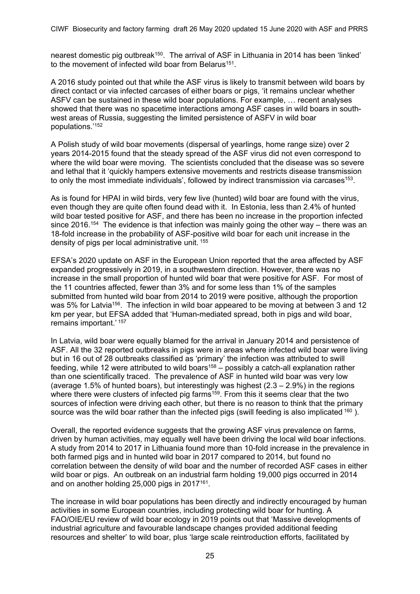nearest domestic pig outbreak<sup>150</sup>. The arrival of ASF in Lithuania in 2014 has been 'linked' to the movement of infected wild boar from Belarus<sup>151</sup>.

A 2016 study pointed out that while the ASF virus is likely to transmit between wild boars by direct contact or via infected carcases of either boars or pigs, 'it remains unclear whether ASFV can be sustained in these wild boar populations. For example, … recent analyses showed that there was no spacetime interactions among ASF cases in wild boars in southwest areas of Russia, suggesting the limited persistence of ASFV in wild boar populations.'152

A Polish study of wild boar movements (dispersal of yearlings, home range size) over 2 years 2014-2015 found that the steady spread of the ASF virus did not even correspond to where the wild boar were moving. The scientists concluded that the disease was so severe and lethal that it 'quickly hampers extensive movements and restricts disease transmission to only the most immediate individuals', followed by indirect transmission via carcases<sup>153</sup>.

As is found for HPAI in wild birds, very few live (hunted) wild boar are found with the virus, even though they are quite often found dead with it. In Estonia, less than 2.4% of hunted wild boar tested positive for ASF, and there has been no increase in the proportion infected since 2016.<sup>154</sup> The evidence is that infection was mainly going the other way – there was an 18-fold increase in the probability of ASF-positive wild boar for each unit increase in the density of pigs per local administrative unit. 155

EFSA's 2020 update on ASF in the European Union reported that the area affected by ASF expanded progressively in 2019, in a southwestern direction. However, there was no increase in the small proportion of hunted wild boar that were positive for ASF. For most of the 11 countries affected, fewer than 3% and for some less than 1% of the samples submitted from hunted wild boar from 2014 to 2019 were positive, although the proportion was 5% for Latvia<sup>156</sup>. The infection in wild boar appeared to be moving at between 3 and 12 km per year, but EFSA added that 'Human-mediated spread, both in pigs and wild boar, remains important.' 157

In Latvia, wild boar were equally blamed for the arrival in January 2014 and persistence of ASF. All the 32 reported outbreaks in pigs were in areas where infected wild boar were living but in 16 out of 28 outbreaks classified as 'primary' the infection was attributed to swill feeding, while 12 were attributed to wild boars<sup>158</sup> – possibly a catch-all explanation rather than one scientifically traced. The prevalence of ASF in hunted wild boar was very low (average 1.5% of hunted boars), but interestingly was highest  $(2.3 - 2.9%)$  in the regions where there were clusters of infected pig farms<sup>159</sup>. From this it seems clear that the two sources of infection were driving each other, but there is no reason to think that the primary source was the wild boar rather than the infected pigs (swill feeding is also implicated <sup>160</sup>).

Overall, the reported evidence suggests that the growing ASF virus prevalence on farms, driven by human activities, may equally well have been driving the local wild boar infections. A study from 2014 to 2017 in Lithuania found more than 10-fold increase in the prevalence in both farmed pigs and in hunted wild boar in 2017 compared to 2014, but found no correlation between the density of wild boar and the number of recorded ASF cases in either wild boar or pigs. An outbreak on an industrial farm holding 19,000 pigs occurred in 2014 and on another holding 25,000 pigs in 2017161.

The increase in wild boar populations has been directly and indirectly encouraged by human activities in some European countries, including protecting wild boar for hunting. A FAO/OIE/EU review of wild boar ecology in 2019 points out that 'Massive developments of industrial agriculture and favourable landscape changes provided additional feeding resources and shelter' to wild boar, plus 'large scale reintroduction efforts, facilitated by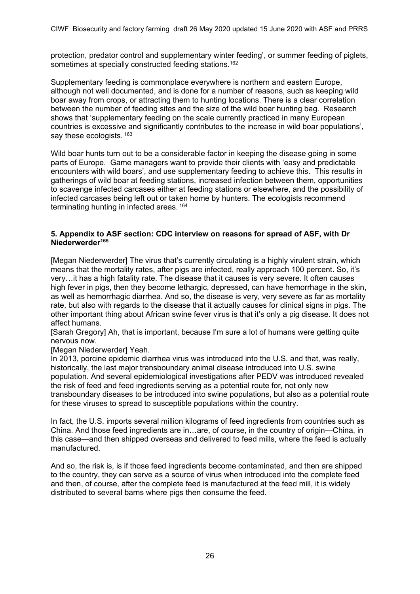protection, predator control and supplementary winter feeding', or summer feeding of piglets, sometimes at specially constructed feeding stations.<sup>162</sup>

Supplementary feeding is commonplace everywhere is northern and eastern Europe, although not well documented, and is done for a number of reasons, such as keeping wild boar away from crops, or attracting them to hunting locations. There is a clear correlation between the number of feeding sites and the size of the wild boar hunting bag. Research shows that 'supplementary feeding on the scale currently practiced in many European countries is excessive and significantly contributes to the increase in wild boar populations', say these ecologists. 163

Wild boar hunts turn out to be a considerable factor in keeping the disease going in some parts of Europe. Game managers want to provide their clients with 'easy and predictable encounters with wild boars', and use supplementary feeding to achieve this. This results in gatherings of wild boar at feeding stations, increased infection between them, opportunities to scavenge infected carcases either at feeding stations or elsewhere, and the possibility of infected carcases being left out or taken home by hunters. The ecologists recommend terminating hunting in infected areas. 164

#### **5. Appendix to ASF section: CDC interview on reasons for spread of ASF, with Dr Niederwerder165**

[Megan Niederwerder] The virus that's currently circulating is a highly virulent strain, which means that the mortality rates, after pigs are infected, really approach 100 percent. So, it's very…it has a high fatality rate. The disease that it causes is very severe. It often causes high fever in pigs, then they become lethargic, depressed, can have hemorrhage in the skin, as well as hemorrhagic diarrhea. And so, the disease is very, very severe as far as mortality rate, but also with regards to the disease that it actually causes for clinical signs in pigs. The other important thing about African swine fever virus is that it's only a pig disease. It does not affect humans.

[Sarah Gregory] Ah, that is important, because I'm sure a lot of humans were getting quite nervous now.

[Megan Niederwerder] Yeah.

In 2013, porcine epidemic diarrhea virus was introduced into the U.S. and that, was really, historically, the last major transboundary animal disease introduced into U.S. swine population. And several epidemiological investigations after PEDV was introduced revealed the risk of feed and feed ingredients serving as a potential route for, not only new transboundary diseases to be introduced into swine populations, but also as a potential route for these viruses to spread to susceptible populations within the country.

In fact, the U.S. imports several million kilograms of feed ingredients from countries such as China. And those feed ingredients are in…are, of course, in the country of origin—China, in this case—and then shipped overseas and delivered to feed mills, where the feed is actually manufactured.

And so, the risk is, is if those feed ingredients become contaminated, and then are shipped to the country, they can serve as a source of virus when introduced into the complete feed and then, of course, after the complete feed is manufactured at the feed mill, it is widely distributed to several barns where pigs then consume the feed.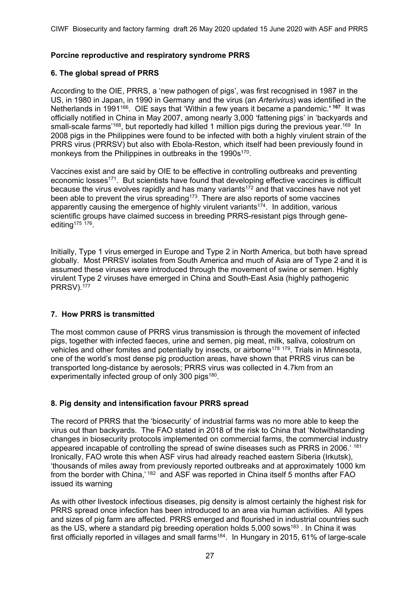## **Porcine reproductive and respiratory syndrome PRRS**

## **6. The global spread of PRRS**

According to the OIE, PRRS, a 'new pathogen of pigs', was first recognised in 1987 in the US, in 1980 in Japan, in 1990 in Germany and the virus (an *Arterivirus*) was identified in the Netherlands in 1991<sup>166</sup>. OIE says that 'Within a few years it became a pandemic.'<sup>167</sup> It was officially notified in China in May 2007, among nearly 3,000 'fattening pigs' in 'backyards and small-scale farms<sup>'168</sup>, but reportedly had killed 1 million pigs during the previous year.<sup>169</sup> In 2008 pigs in the Philippines were found to be infected with both a highly virulent strain of the PRRS virus (PRRSV) but also with Ebola-Reston, which itself had been previously found in monkeys from the Philippines in outbreaks in the 1990s<sup>170</sup>.

Vaccines exist and are said by OIE to be effective in controlling outbreaks and preventing economic losses171. But scientists have found that developing effective vaccines is difficult because the virus evolves rapidly and has many variants<sup>172</sup> and that vaccines have not yet been able to prevent the virus spreading<sup>173</sup>. There are also reports of some vaccines apparently causing the emergence of highly virulent variants<sup>174</sup>. In addition, various scientific groups have claimed success in breeding PRRS-resistant pigs through geneediting<sup> $175$ </sup> $176$ .

Initially, Type 1 virus emerged in Europe and Type 2 in North America, but both have spread globally. Most PRRSV isolates from South America and much of Asia are of Type 2 and it is assumed these viruses were introduced through the movement of swine or semen. Highly virulent Type 2 viruses have emerged in China and South-East Asia (highly pathogenic PRRSV).177

# **7. How PRRS is transmitted**

The most common cause of PRRS virus transmission is through the movement of infected pigs, together with infected faeces, urine and semen, pig meat, milk, saliva, colostrum on vehicles and other fomites and potentially by insects, or airborne<sup>178 179</sup>. Trials in Minnesota, one of the world's most dense pig production areas, have shown that PRRS virus can be transported long-distance by aerosols; PRRS virus was collected in 4.7km from an experimentally infected group of only 300 pigs<sup>180</sup>.

### **8. Pig density and intensification favour PRRS spread**

The record of PRRS that the 'biosecurity' of industrial farms was no more able to keep the virus out than backyards. The FAO stated in 2018 of the risk to China that 'Notwithstanding changes in biosecurity protocols implemented on commercial farms, the commercial industry appeared incapable of controlling the spread of swine diseases such as PRRS in 2006.' 181 Ironically, FAO wrote this when ASF virus had already reached eastern Siberia (Irkutsk), 'thousands of miles away from previously reported outbreaks and at approximately 1000 km from the border with China,' 182 and ASF was reported in China itself 5 months after FAO issued its warning

As with other livestock infectious diseases, pig density is almost certainly the highest risk for PRRS spread once infection has been introduced to an area via human activities. All types and sizes of pig farm are affected. PRRS emerged and flourished in industrial countries such as the US, where a standard pig breeding operation holds 5,000 sows<sup>183</sup>. In China it was first officially reported in villages and small farms<sup>184</sup>. In Hungary in 2015, 61% of large-scale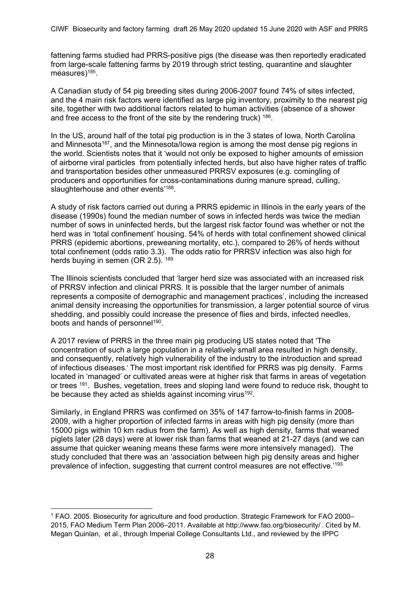fattening farms studied had PRRS-positive pigs (the disease was then reportedly eradicated from large-scale fattening farms by 2019 through strict testing, quarantine and slaughter measures)<sup>185</sup>.

A Canadian study of 54 pig breeding sites during 2006-2007 found 74% of sites infected, and the 4 main risk factors were identified as large pig inventory, proximity to the nearest pig site, together with two additional factors related to human activities (absence of a shower and free access to the front of the site by the rendering truck) 186.

In the US, around half of the total pig production is in the 3 states of Iowa, North Carolina and Minnesota<sup>187</sup>, and the Minnesota/Iowa region is among the most dense pig regions in the world. Scientists notes that it 'would not only be exposed to higher amounts of emission of airborne viral particles from potentially infected herds, but also have higher rates of traffic and transportation besides other unmeasured PRRSV exposures (e.g. comingling of producers and opportunities for cross-contaminations during manure spread, culling, slaughterhouse and other events'<sup>188</sup>.

A study of risk factors carried out during a PRRS epidemic in Illinois in the early years of the disease (1990s) found the median number of sows in infected herds was twice the median number of sows in uninfected herds, but the largest risk factor found was whether or not the herd was in 'total confinement' housing. 54% of herds with total confinement showed clinical PRRS (epidemic abortions, preweaning mortality, etc.), compared to 26% of herds without total confinement (odds ratio 3.3). The odds ratio for PRRSV infection was also high for herds buying in semen  $(OR 2.5)^{189}$ 

The Illinois scientists concluded that 'larger herd size was associated with an increased risk of PRRSV infection and clinical PRRS. It is possible that the larger number of animals represents a composite of demographic and management practices', including the increased animal density increasing the opportunities for transmission, a larger potential source of virus shedding, and possibly could increase the presence of flies and birds, infected needles, boots and hands of personnel<sup>190</sup>.

A 2017 review of PRRS in the three main pig producing US states noted that 'The concentration of such a large population in a relatively small area resulted in high density, and consequently, relatively high vulnerability of the industry to the introduction and spread of infectious diseases.' The most important risk identified for PRRS was pig density. Farms located in 'managed' or cultivated areas were at higher risk that farms in areas of vegetation or trees 191. Bushes, vegetation, trees and sloping land were found to reduce risk, thought to be because they acted as shields against incoming virus<sup>192</sup>.

Similarly, in England PRRS was confirmed on 35% of 147 farrow-to-finish farms in 2008- 2009, with a higher proportion of infected farms in areas with high pig density (more than 15000 pigs within 10 km radius from the farm). As well as high density, farms that weaned piglets later (28 days) were at lower risk than farms that weaned at 21-27 days (and we can assume that quicker weaning means these farms were more intensively managed). The study concluded that there was an 'association between high pig density areas and higher prevalence of infection, suggesting that current control measures are not effective.'193

<sup>1</sup> FAO. 2005. Biosecurity for agriculture and food production. Strategic Framework for FAO 2000– 2015, FAO Medium Term Plan 2006–2011. Available at http://www.fao.org/biosecurity/ . Cited by M. Megan Quinlan, et al., through Imperial College Consultants Ltd., and reviewed by the IPPC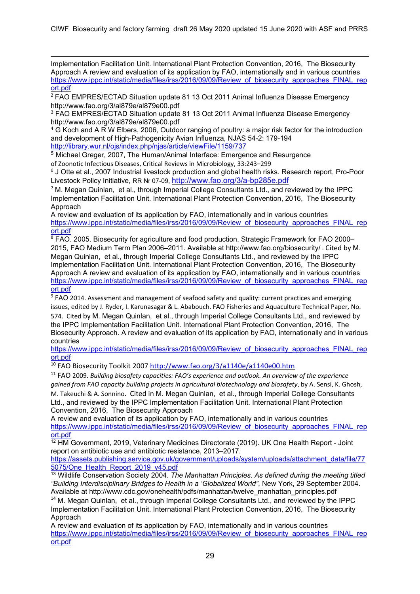Implementation Facilitation Unit. International Plant Protection Convention, 2016, The Biosecurity Approach A review and evaluation of its application by FAO, internationally and in various countries https://www.ippc.int/static/media/files/irss/2016/09/09/Review\_of\_biosecurity\_approaches\_FINAL\_rep ort.pdf

<sup>2</sup> FAO EMPRES/ECTAD Situation update 81 13 Oct 2011 Animal Influenza Disease Emergency http://www.fao.org/3/al879e/al879e00.pdf

<sup>3</sup> FAO EMPRES/ECTAD Situation update 81 13 Oct 2011 Animal Influenza Disease Emergency http://www.fao.org/3/al879e/al879e00.pdf

4 G Koch and A R W Elbers, 2006, Outdoor ranging of poultry: a major risk factor for the introduction and development of High-Pathogenicity Avian Influenza, NJAS 54-2: 179-194 http://library.wur.nl/ojs/index.php/njas/article/viewFile/1159/737

<sup>5</sup> Michael Greger, 2007, The Human/Animal Interface: Emergence and Resurgence of Zoonotic Infectious Diseases, Critical Reviews in Microbiology, 33:243–299

6 J Otte et al., 2007 Industrial livestock production and global health risks. Research report, Pro-Poor Livestock Policy Initiative, RR Nr 07-09, http://www.fao.org/3/a-bp285e.pdf

 $7$  M. Megan Quinlan, et al., through Imperial College Consultants Ltd., and reviewed by the IPPC Implementation Facilitation Unit. International Plant Protection Convention, 2016, The Biosecurity Approach

A review and evaluation of its application by FAO, internationally and in various countries https://www.ippc.int/static/media/files/irss/2016/09/09/Review\_of\_biosecurity\_approaches\_FINAL\_rep ort.pdf

 $8$  FAO. 2005. Biosecurity for agriculture and food production. Strategic Framework for FAO 2000– 2015, FAO Medium Term Plan 2006–2011. Available at http://www.fao.org/biosecurity/ . Cited by M. Megan Quinlan, et al., through Imperial College Consultants Ltd., and reviewed by the IPPC Implementation Facilitation Unit. International Plant Protection Convention, 2016, The Biosecurity Approach A review and evaluation of its application by FAO, internationally and in various countries https://www.ippc.int/static/media/files/irss/2016/09/09/Review\_of\_biosecurity\_approaches\_FINAL\_rep ort.pdf

<sup>9</sup> FAO 2014. Assessment and management of seafood safety and quality: current practices and emerging issues, edited by J. Ryder, I. Karunasagar & L. Ababouch. FAO Fisheries and Aquaculture Technical Paper, No. 574. Cited by M. Megan Quinlan, et al., through Imperial College Consultants Ltd., and reviewed by the IPPC Implementation Facilitation Unit. International Plant Protection Convention, 2016, The Biosecurity Approach. A review and evaluation of its application by FAO, internationally and in various countries

https://www.ippc.int/static/media/files/irss/2016/09/09/Review\_of\_biosecurity\_approaches\_FINAL\_rep ort.pdf

<sup>10</sup> FAO Biosecurity Toolkit 2007 http://www.fao.org/3/a1140e/a1140e00.htm

<sup>11</sup> FAO 2009. *Building biosafety capacities: FAO's experience and outlook. An overview of the experience gained from FAO capacity building projects in agricultural biotechnology and biosafety*, by A. Sensi, K. Ghosh,

M. Takeuchi & A. Sonnino. Cited in M. Megan Quinlan, et al., through Imperial College Consultants Ltd., and reviewed by the IPPC Implementation Facilitation Unit. International Plant Protection Convention, 2016, The Biosecurity Approach

A review and evaluation of its application by FAO, internationally and in various countries https://www.ippc.int/static/media/files/irss/2016/09/09/Review\_of\_biosecurity\_approaches\_FINAL\_rep ort.pdf

 $12$  HM Government, 2019, Veterinary Medicines Directorate (2019). UK One Health Report - Joint report on antibiotic use and antibiotic resistance, 2013–2017.

https://assets.publishing.service.gov.uk/government/uploads/system/uploads/attachment\_data/file/77 5075/One\_Health\_Report\_2019\_v45.pdf

<sup>13</sup> Wildlife Conservation Society 2004. The Manhattan Principles. As defined during the meeting titled *"Building Interdisciplinary Bridges to Health in a 'Globalized World"*, New York, 29 September 2004. Available at http://www.cdc.gov/onehealth/pdfs/manhattan/twelve\_manhattan\_principles.pdf

<sup>14</sup> M. Megan Quinlan, et al., through Imperial College Consultants Ltd., and reviewed by the IPPC Implementation Facilitation Unit. International Plant Protection Convention, 2016, The Biosecurity Approach

A review and evaluation of its application by FAO, internationally and in various countries https://www.ippc.int/static/media/files/irss/2016/09/09/Review\_of\_biosecurity\_approaches\_FINAL\_rep ort.pdf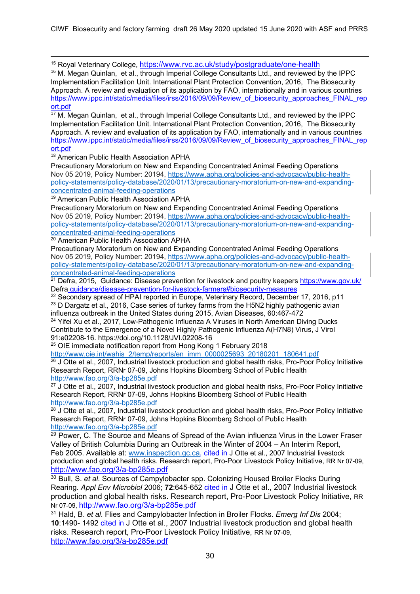15 Royal Veterinary College, https://www.rvc.ac.uk/study/postgraduate/one-health

<sup>16</sup> M. Megan Quinlan, et al., through Imperial College Consultants Ltd., and reviewed by the IPPC Implementation Facilitation Unit. International Plant Protection Convention, 2016, The Biosecurity Approach. A review and evaluation of its application by FAO, internationally and in various countries https://www.ippc.int/static/media/files/irss/2016/09/09/Review\_of\_biosecurity\_approaches\_FINAL\_rep ort.pdf

<sup>17</sup> M. Megan Quinlan, et al., through Imperial College Consultants Ltd., and reviewed by the IPPC Implementation Facilitation Unit. International Plant Protection Convention, 2016, The Biosecurity Approach. A review and evaluation of its application by FAO, internationally and in various countries https://www.ippc.int/static/media/files/irss/2016/09/09/Review\_of\_biosecurity\_approaches\_FINAL\_rep ort.pdf

18 American Public Health Association APHA

Precautionary Moratorium on New and Expanding Concentrated Animal Feeding Operations Nov 05 2019, Policy Number: 20194, https://www.apha.org/policies-and-advocacy/public-healthpolicy-statements/policy-database/2020/01/13/precautionary-moratorium-on-new-and-expandingconcentrated-animal-feeding-operations

<sup>19</sup> American Public Health Association APHA

Precautionary Moratorium on New and Expanding Concentrated Animal Feeding Operations Nov 05 2019, Policy Number: 20194, https://www.apha.org/policies-and-advocacy/public-healthpolicy-statements/policy-database/2020/01/13/precautionary-moratorium-on-new-and-expandingconcentrated-animal-feeding-operations

20 American Public Health Association APHA

Precautionary Moratorium on New and Expanding Concentrated Animal Feeding Operations Nov 05 2019, Policy Number: 20194, https://www.apha.org/policies-and-advocacy/public-healthpolicy-statements/policy-database/2020/01/13/precautionary-moratorium-on-new-and-expandingconcentrated-animal-feeding-operations

<sup>21</sup> Defra, 2015, Guidance: Disease prevention for livestock and poultry keepers https://www.gov.uk/ Defra guidance/disease-prevention-for-livestock-farmers#biosecurity-measures

<sup>22</sup> Secondary spread of HPAI reported in Europe, Veterinary Record, December 17, 2016, p11 <sup>23</sup> D Dargatz et al., 2016, Case series of turkey farms from the H5N2 highly pathogenic avian influenza outbreak in the United States during 2015, Avian Diseases, 60:467-472

<sup>24</sup> Yifei Xu et al., 2017, Low-Pathogenic Influenza A Viruses in North American Diving Ducks Contribute to the Emergence of a Novel Highly Pathogenic Influenza A(H7N8) Virus, J Virol 91:e02208-16. https://doi.org/10.1128/JVI.02208-16

<sup>25</sup> OIE immediate notification report from Hong Kong 1 February 2018

http://www.oie.int/wahis\_2/temp/reports/en\_imm\_0000025693\_20180201\_180641.pdf <sup>26</sup> J Otte et al., 2007, Industrial livestock production and global health risks, Pro-Poor Policy Initiative Research Report, RRNr 07-09, Johns Hopkins Bloomberg School of Public Health http://www.fao.org/3/a-bp285e.pdf

 $27$  J Otte et al., 2007, Industrial livestock production and global health risks, Pro-Poor Policy Initiative Research Report, RRNr 07-09, Johns Hopkins Bloomberg School of Public Health

http://www.fao.org/3/a-bp285e.pdf<br><sup>28</sup> J Otte et al., 2007, Industrial livestock production and global health risks, Pro-Poor Policy Initiative Research Report, RRNr 07-09, Johns Hopkins Bloomberg School of Public Health http://www.fao.org/3/a-bp285e.pdf

<sup>29</sup> Power, C. The Source and Means of Spread of the Avian influenza Virus in the Lower Fraser Valley of British Columbia During an Outbreak in the Winter of 2004 – An Interim Report, Feb 2005. Available at: www.inspection.gc.ca, cited in J Otte et al., 2007 Industrial livestock production and global health risks. Research report, Pro-Poor Livestock Policy Initiative, RR Nr 07-09, http://www.fao.org/3/a-bp285e.pdf

<sup>30</sup> Bull, S. *et al.* Sources of Campylobacter spp. Colonizing Housed Broiler Flocks During Rearing. *Appl Env Microbiol* 2006; **72**:645-652 cited in J Otte et al., 2007 Industrial livestock production and global health risks. Research report, Pro-Poor Livestock Policy Initiative, RR Nr 07-09, http://www.fao.org/3/a-bp285e.pdf

<sup>31</sup> Hald, B. *et al*. Flies and Campylobacter Infection in Broiler Flocks. *Emerg Inf Dis* 2004; **10**:1490- 1492 cited in J Otte et al., 2007 Industrial livestock production and global health risks. Research report, Pro-Poor Livestock Policy Initiative, RR Nr 07-09, http://www.fao.org/3/a-bp285e.pdf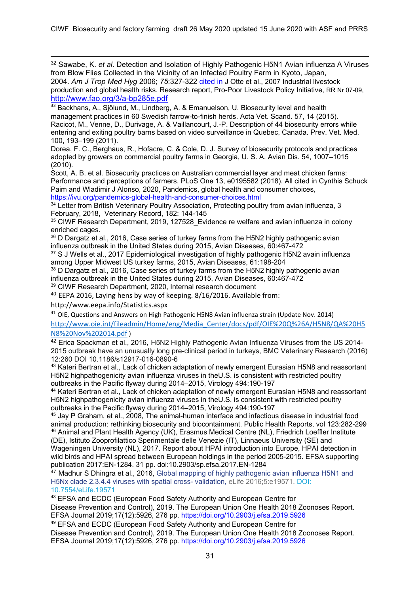<sup>32</sup> Sawabe, K. *et al*. Detection and Isolation of Highly Pathogenic H5N1 Avian influenza A Viruses from Blow Flies Collected in the Vicinity of an Infected Poultry Farm in Kyoto, Japan, 2004. *Am J Trop Med Hyg* 2006; *75*:327-322 cited in J Otte et al., 2007 Industrial livestock production and global health risks. Research report, Pro-Poor Livestock Policy Initiative, RR Nr 07-09, http://www.fao.org/3/a-bp285e.pdf

33 Backhans, A., Sjölund, M., Lindberg, A. & Emanuelson, U. Biosecurity level and health management practices in 60 Swedish farrow-to-finish herds. Acta Vet. Scand. 57, 14 (2015). Racicot, M., Venne, D., Durivage, A. & Vaillancourt, J.-P. Description of 44 biosecurity errors while entering and exiting poultry barns based on video surveillance in Quebec, Canada. Prev. Vet. Med. 100, 193–199 (2011).

Dorea, F. C., Berghaus, R., Hofacre, C. & Cole, D. J. Survey of biosecurity protocols and practices adopted by growers on commercial poultry farms in Georgia, U. S. A. Avian Dis. 54, 1007–1015 (2010).

Scott, A. B. et al. Biosecurity practices on Australian commercial layer and meat chicken farms: Performance and perceptions of farmers. PLoS One 13, e0195582 (2018). All cited in Cynthis Schuck Paim and Wladimir J Alonso, 2020, Pandemics, global health and consumer choices, https://ivu.org/pandemics-global-health-and-consumer-choices.html

<sup>34</sup> Letter from British Veterinary Poultry Association, Protecting poultry from avian influenza, 3 February, 2018, Veterinary Record, 182: 144-145

<sup>35</sup> CIWF Research Department, 2019, 127528 Evidence re welfare and avian influenza in colony enriched cages.

<sup>36</sup> D Dargatz et al., 2016, Case series of turkey farms from the H5N2 highly pathogenic avian influenza outbreak in the United States during 2015, Avian Diseases, 60:467-472

<sup>37</sup> S J Wells et al., 2017 Epidemiological investigation of highly pathogenic H5N2 avain influenza among Upper Midwest US turkey farms, 2015, Avian Diseases, 61:198-204

<sup>38</sup> D Dargatz et al., 2016, Case series of turkey farms from the H5N2 highly pathogenic avian influenza outbreak in the United States during 2015, Avian Diseases, 60:467-472

<sup>39</sup> CIWF Research Department, 2020, Internal research document

<sup>40</sup> EEPA 2016, Laying hens by way of keeping. 8/16/2016. Available from:

http://www.eepa.info/Statistics.aspx

<sup>41</sup> OIE, Questions and Answers on High Pathogenic H5N8 Avian influenza strain (Update Nov. 2014) http://www.oie.int/fileadmin/Home/eng/Media\_Center/docs/pdf/OIE%20Q%26A/H5N8/QA%20H5 N8%20Nov%202014.pdf )

<sup>42</sup> Erica Spackman et al., 2016, H5N2 Highly Pathogenic Avian Influenza Viruses from the US 2014- 2015 outbreak have an unusually long pre-clinical period in turkeys, BMC Veterinary Research (2016) 12:260 DOI 10.1186/s12917-016-0890-6

43 Kateri Bertran et al., Lack of chicken adaptation of newly emergent Eurasian H5N8 and reassortant H5N2 highpathogenicity avian influenza viruses in theU.S. is consistent with restricted poultry outbreaks in the Pacific flyway during 2014–2015, Virology 494:190-197

44 Kateri Bertran et al., Lack of chicken adaptation of newly emergent Eurasian H5N8 and reassortant H5N2 highpathogenicity avian influenza viruses in theU.S. is consistent with restricted poultry outbreaks in the Pacific flyway during 2014–2015, Virology 494:190-197

45 Jay P Graham, et al., 2008, The animal-human interface and infectious disease in industrial food animal production: rethinking biosecurity and biocontainment. Public Health Reports, vol 123:282-299 46 Animal and Plant Health Agency (UK), Erasmus Medical Centre (NL), Friedrich Loeffler Institute (DE), Istituto Zooprofilattico Sperimentale delle Venezie (IT), Linnaeus University (SE) and Wageningen University (NL), 2017. Report about HPAI introduction into Europe, HPAI detection in wild birds and HPAI spread between European holdings in the period 2005-2015. EFSA supporting publication 2017:EN-1284. 31 pp. doi:10.2903/sp.efsa.2017.EN-1284

<sup>47</sup> Madhur S Dhingra et al., 2016, Global mapping of highly pathogenic avian influenza H5N1 and H5Nx clade 2.3.4.4 viruses with spatial cross- validation, eLife 2016;5:e19571. DOI: 10.7554/eLife.19571

<sup>48</sup> EFSA and ECDC (European Food Safety Authority and European Centre for Disease Prevention and Control), 2019. The European Union One Health 2018 Zoonoses Report.

EFSA Journal 2019;17(12):5926, 276 pp. https://doi.org/10.2903/j.efsa.2019.5926

<sup>49</sup> EFSA and ECDC (European Food Safety Authority and European Centre for

Disease Prevention and Control), 2019. The European Union One Health 2018 Zoonoses Report. EFSA Journal 2019;17(12):5926, 276 pp. https://doi.org/10.2903/j.efsa.2019.5926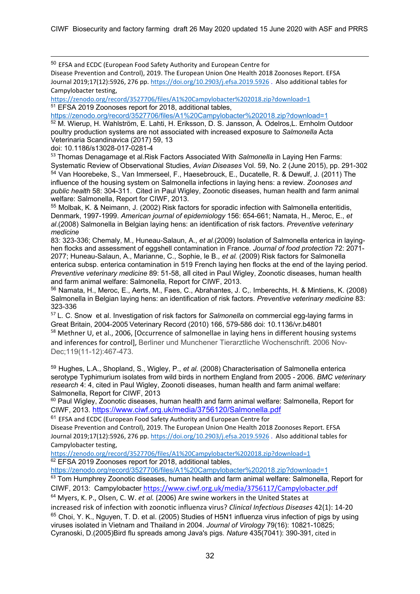<sup>50</sup> EFSA and ECDC (European Food Safety Authority and European Centre for Disease Prevention and Control), 2019. The European Union One Health 2018 Zoonoses Report. EFSA Journal 2019;17(12):5926, 276 pp. https://doi.org/10.2903/j.efsa.2019.5926 . Also additional tables for Campylobacter testing,

https://zenodo.org/record/3527706/files/A1%20Campylobacter%202018.zip?download=1 <sup>51</sup> EFSA 2019 Zoonoses report for 2018, additional tables,<br>https://zenodo.org/record/3527706/files/A1%20Campylobacter%202018.zip?download=1

52 M. Wierup, H. Wahlström, E. Lahti, H. Eriksson, D. S. Jansson, Å. Odelros,L. Ernholm Outdoor poultry production systems are not associated with increased exposure to *Salmonella* Acta Veterinaria Scandinavica (2017) 59, 13

doi: 10.1186/s13028-017-0281-4

<sup>53</sup> Thomas Denagamage et al.Risk Factors Associated With *Salmonella* in Laying Hen Farms: Systematic Review of Observational Studies, *Avian Diseases* Vol. 59, No. 2 (June 2015), pp. 291-302 <sup>54</sup> Van Hoorebeke, S., Van Immerseel, F., Haesebrouck, E., Ducatelle, R. & Dewulf, J. (2011) The influence of the housing system on Salmonella infections in laying hens: a review. *Zoonoses and public health* 58: 304-311. Cited in Paul Wigley, Zoonotic diseases, human health and farm animal welfare: Salmonella, Report for CIWF, 2013.

<sup>55</sup> Molbak, K. & Neimann, J. (2002) Risk factors for sporadic infection with Salmonella enteritidis, Denmark, 1997-1999. *American journal of epidemiology* 156: 654-661; Namata, H., Meroc, E., *et al*.(2008) Salmonella in Belgian laying hens: an identification of risk factors. *Preventive veterinary medicine* 

83: 323-336; Chemaly, M., Huneau-Salaun, A., *et al*.(2009) Isolation of Salmonella enterica in layinghen flocks and assessment of eggshell contamination in France. *Journal of food protection* 72: 2071- 2077; Huneau-Salaun, A., Marianne, C., Sophie, le B.*, et al.* (2009) Risk factors for Salmonella enterica subsp. enterica contamination in 519 French laying hen flocks at the end of the laying period. *Preventive veterinary medicine* 89: 51-58, all cited in Paul Wigley, Zoonotic diseases, human health and farm animal welfare: Salmonella, Report for CIWF, 2013.

<sup>56</sup> Namata, H., Meroc, E., Aerts, M., Faes, C., Abrahantes, J. C,. Imberechts, H. & Mintiens, K. (2008) Salmonella in Belgian laying hens: an identification of risk factors. *Preventive veterinary medicine* 83: 323-336

<sup>57</sup> L. C. Snow et al. Investigation of risk factors for *Salmonella* on commercial egg-laying farms in Great Britain, 2004-2005 Veterinary Record (2010) 166, 579-586 doi: 10.1136/vr.b4801

58 Methner U, et al., 2006, [Occurrence of salmonellae in laying hens in different housing systems and inferences for control], Berliner und Munchener Tierarztliche Wochenschrift. 2006 Nov-Dec;119(11-12):467-473.

<sup>59</sup> Hughes, L.A., Shopland, S., Wigley, P., *et al.* (2008) Characterisation of Salmonella enterica serotype Typhimurium isolates from wild birds in northern England from 2005 - 2006. *BMC veterinary research* 4: 4, cited in Paul Wigley, Zoonoti diseases, human health and farm animal welfare: Salmonella, Report for CIWF, 2013

 $60$  Paul Wigley, Zoonotic diseases, human health and farm animal welfare: Salmonella, Report for CIWF, 2013. https://www.ciwf.org.uk/media/3756120/Salmonella.pdf

<sup>61</sup> EFSA and ECDC (European Food Safety Authority and European Centre for

Disease Prevention and Control), 2019. The European Union One Health 2018 Zoonoses Report. EFSA Journal 2019;17(12):5926, 276 pp. https://doi.org/10.2903/j.efsa.2019.5926 . Also additional tables for Campylobacter testing,

https://zenodo.org/record/3527706/files/A1%20Campylobacter%202018.zip?download=1 <sup>62</sup> EFSA 2019 Zoonoses report for 2018, additional tables,

https://zenodo.org/record/3527706/files/A1%20Campylobacter%202018.zip?download=1

<sup>63</sup> Tom Humphrey Zoonotic diseases, human health and farm animal welfare: Salmonella, Report for CIWF, 2013: Campylobacter https://www.ciwf.org.uk/media/3756117/Campylobacter.pdf

<sup>64</sup> Myers, K. P., Olsen, C. W. *et al.* (2006) Are swine workers in the United States at

increased risk of infection with zoonotic influenza virus? *Clinical Infectious Diseases* 42(1): 14‐20 <sup>65</sup> Choi, Y. K., Nguyen, T. D. et al. (2005) Studies of H5N1 influenza virus infection of pigs by using viruses isolated in Vietnam and Thailand in 2004. *Journal of Virology* 79(16): 10821-10825; Cyranoski, D.(2005)Bird flu spreads among Java's pigs. *Nature* 435(7041): 390-391, cited in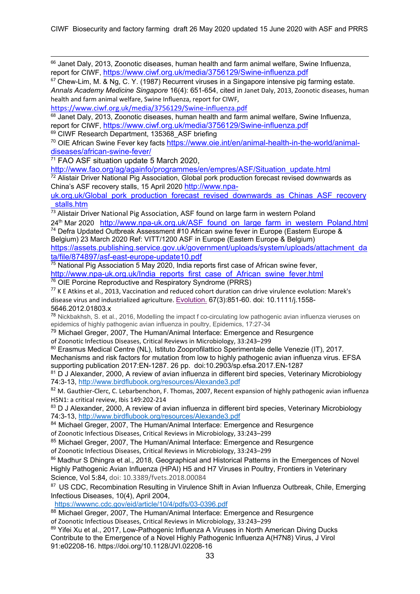<sup>66</sup> Janet Daly, 2013, Zoonotic diseases, human health and farm animal welfare, Swine Influenza, report for CIWF, https://www.ciwf.org.uk/media/3756129/Swine-influenza.pdf

 $67$  Chew-Lim, M. & Ng, C. Y. (1987) Recurrent viruses in a Singapore intensive pig farming estate. *Annals Academy Medicine Singapore* 16(4): 651-654, cited in Janet Daly, 2013, Zoonotic diseases, human health and farm animal welfare, Swine Influenza, report for CIWF,

https://www.ciwf.org.uk/media/3756129/Swine‐influenza.pdf

 $68$  Janet Daly, 2013, Zoonotic diseases, human health and farm animal welfare, Swine Influenza, report for CIWF, https://www.ciwf.org.uk/media/3756129/Swine-influenza.pdf 69 CIWF Research Department, 135368 ASF briefing

70 OIE African Swine Fever key facts https://www.oie.int/en/animal-health-in-the-world/animaldiseases/african-swine-fever/

<sup>71</sup> FAO ASF situation update 5 March 2020,

http://www.fao.org/ag/againfo/programmes/en/empres/ASF/Situation\_update.html

72 Alistair Driver National Pig Association, Global pork production forecast revised downwards as China's ASF recovery stalls, 15 April 2020 http://www.npa-

uk.org.uk/Global\_pork\_production\_forecast\_revised\_downwards\_as\_Chinas\_ASF\_recovery \_stalls.htm

 $\overline{73}$  Alistair Driver National Pig Association, ASF found on large farm in western Poland

24<sup>th</sup> Mar 2020 http://www.npa-uk.org.uk/ASF\_found\_on\_large\_farm\_in\_western\_Poland.html 74 Defra Updated Outbreak Assessment #10 African swine fever in Europe (Eastern Europe & Belgium) 23 March 2020 Ref: VITT/1200 ASF in Europe (Eastern Europe & Belgium)

https://assets.publishing.service.gov.uk/government/uploads/system/uploads/attachment\_da ta/file/874897/asf-east-europe-update10.pdf

 $75$  National Pig Association 5 May 2020, India reports first case of African swine fever, http://www.npa-uk.org.uk/India\_reports\_first\_case\_of\_African\_swine\_fever.html 76 OIE Porcine Reproductive and Respiratory Syndrome (PRRS)

 $77$  K E Atkins et al., 2013, Vaccination and reduced cohort duration can drive virulence evolution: Marek's disease virus and industrialized agriculture. Evolution. 67(3):851-60. doi: 10.1111/j.1558- 5646.2012.01803.x

<sup>78</sup> Nickbakhsh, S. et al., 2016, Modelling the impact f co-circulating low pathogenic avian influenza vieruses on epidemics of highly pathogenic avian influenza in poultry, Epidemics, 17:27-34

<sup>79</sup> Michael Greger, 2007, The Human/Animal Interface: Emergence and Resurgence of Zoonotic Infectious Diseases, Critical Reviews in Microbiology, 33:243–299

80 Erasmus Medical Centre (NL), Istituto Zooprofilattico Sperimentale delle Venezie (IT), 2017.

Mechanisms and risk factors for mutation from low to highly pathogenic avian influenza virus. EFSA supporting publication 2017:EN-1287. 26 pp. doi:10.2903/sp.efsa.2017.EN-1287

81 D J Alexander, 2000, A review of avian influenza in different bird species, Veterinary Microbiology 74:3-13, http://www.birdflubook.org/resources/Alexande3.pdf

82 M. Gauthier-Clerc, C. Lebarbenchon, F. Thomas, 2007, Recent expansion of highly pathogenic avian influenza H5N1: a critical review, Ibis 149:202‐214

83 D J Alexander, 2000. A review of avian influenza in different bird species, Veterinary Microbiology 74:3-13, http://www.birdflubook.org/resources/Alexande3.pdf<br><sup>84</sup> Michael Greger, 2007, The Human/Animal Interface: Emergence and Resurgence

of Zoonotic Infectious Diseases, Critical Reviews in Microbiology, 33:243–299

<sup>85</sup> Michael Greger, 2007, The Human/Animal Interface: Emergence and Resurgence

of Zoonotic Infectious Diseases, Critical Reviews in Microbiology, 33:243–299

86 Madhur S Dhingra et al., 2018, Geographical and Historical Patterns in the Emergences of Novel Highly Pathogenic Avian Influenza (HPAI) H5 and H7 Viruses in Poultry, Frontiers in Veterinary Science, Vol 5:84, doi: 10.3389/fvets.2018.00084

87 US CDC, Recombination Resulting in Virulence Shift in Avian Influenza Outbreak, Chile, Emerging Infectious Diseases, 10(4), April 2004,

https://wwwnc.cdc.gov/eid/article/10/4/pdfs/03-0396.pdf

88 Michael Greger, 2007. The Human/Animal Interface: Emergence and Resurgence of Zoonotic Infectious Diseases, Critical Reviews in Microbiology, 33:243–299

89 Yifei Xu et al., 2017, Low-Pathogenic Influenza A Viruses in North American Diving Ducks Contribute to the Emergence of a Novel Highly Pathogenic Influenza A(H7N8) Virus, J Virol 91:e02208-16. https://doi.org/10.1128/JVI.02208-16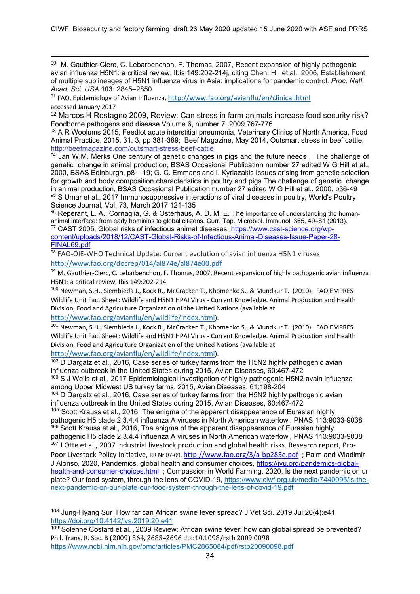90 M. Gauthier-Clerc, C. Lebarbenchon, F. Thomas, 2007, Recent expansion of highly pathogenic avian influenza H5N1: a critical review, Ibis 149:202-214j, citing Chen, H., et al., 2006, Establishment of multiple sublineages of H5N1 influenza virus in Asia: implications for pandemic control. *Proc*. *Natl Acad*. *Sci*. *USA* **103**: 2845–2850.

91 FAO, Epidemiology of Avian Influenza, http://www.fao.org/avianflu/en/clinical.html accessed January 2017

92 Marcos H Rostagno 2009, Review: Can stress in farm animals increase food security risk? Foodborne pathogens and disease Volume 6, number 7, 2009 767-776

93 A R Woolums 2015, Feedlot acute interstitial pneumonia, Veterinary Clinics of North America, Food Animal Practice, 2015, 31, 3, pp 381-389; Beef Magazine, May 2014, Outsmart stress in beef cattle, http://beefmagazine.com/outsmart-stress-beef-cattle

 $94$  Jan W.M. Merks One century of genetic changes in pigs and the future needs, The challenge of genetic change in animal production, BSAS Occasional Publication number 27 edited W G Hill et al., 2000, BSAS Edinburgh, p8 – 19; G. C. Emmans and I. Kyriazakis Issues arising from genetic selection for growth and body composition characteristics in poultry and pigs The challenge of genetic change in animal production, BSAS Occasional Publication number 27 edited W G Hill et al., 2000, p36-49 95 S Umar et al., 2017 Immunosuppressive interactions of viral diseases in poultry, World's Poultry Science Journal, Vol. 73, March 2017 121-135

96 Reperant, L. A., Cornaglia, G. & Osterhaus, A. D. M. E. The importance of understanding the human-<br>animal interface: from early hominins to global citizens. Curr. Top. Microbiol. Immunol. 365, 49–81 (2013).

<sup>97</sup> CAST 2005, Global risks of infectious animal diseases, https://www.cast-science.org/wpcontent/uploads/2018/12/CAST-Global-Risks-of-Infectious-Animal-Diseases-Issue-Paper-28- FINAL69.pdf

98 FAO-OIE-WHO Technical Update: Current evolution of avian influenza H5N1 viruses http://www.fao.org/docrep/014/al874e/al874e00.pdf

99 M. Gauthier-Clerc, C. Lebarbenchon, F. Thomas, 2007, Recent expansion of highly pathogenic avian influenza H5N1: a critical review, Ibis 149:202‐214

<sup>100</sup> Newman, S.H., Siembieda J., Kock R., McCracken T., Khomenko S., & Mundkur T. (2010). FAO EMPRES Wildlife Unit Fact Sheet: Wildlife and H5N1 HPAI Virus ‐ Current Knowledge. Animal Production and Health Division, Food and Agriculture Organization of the United Nations (available at http://www.fao.org/avianflu/en/wildlife/index.html).

<sup>101</sup> Newman, S.H., Siembieda J., Kock R., McCracken T., Khomenko S., & Mundkur T. (2010). FAO EMPRES Wildlife Unit Fact Sheet: Wildlife and H5N1 HPAI Virus ‐ Current Knowledge. Animal Production and Health Division, Food and Agriculture Organization of the United Nations (available at

http://www.fao.org/avianflu/en/wildlife/index.html).

 $102$  D Dargatz et al., 2016, Case series of turkey farms from the H5N2 highly pathogenic avian influenza outbreak in the United States during 2015, Avian Diseases, 60:467-472

103 S J Wells et al., 2017 Epidemiological investigation of highly pathogenic H5N2 avain influenza among Upper Midwest US turkey farms, 2015, Avian Diseases, 61:198-204

<sup>104</sup> D Dargatz et al., 2016, Case series of turkey farms from the H5N2 highly pathogenic avian influenza outbreak in the United States during 2015, Avian Diseases, 60:467-472

<sup>105</sup> Scott Krauss et al., 2016, The enigma of the apparent disappearance of Eurasian highly pathogenic H5 clade 2.3.4.4 influenza A viruses in North American waterfowl, PNAS 113:9033-9038  $106$  Scott Krauss et al., 2016, The enigma of the apparent disappearance of Eurasian highly

pathogenic H5 clade 2.3.4.4 influenza A viruses in North American waterfowl, PNAS 113:9033-9038  $107$  J Otte et al., 2007 Industrial livestock production and global health risks. Research report, Pro-

Poor Livestock Policy Initiative, RR Nr 07-09, http://www.fao.org/3/a-bp285e.pdf : Paim and Wladimir J Alonso, 2020, Pandemics, global health and consumer choices, https://ivu.org/pandemics-globalhealth-and-consumer-choices.html ; Compassion in World Farming, 2020, Is the next pandemic on ur plate? Our food system, through the lens of COVID-19, https://www.ciwf.org.uk/media/7440095/is-thenext-pandemic-on-our-plate-our-food-system-through-the-lens-of-covid-19.pdf

<sup>108</sup> Jung-Hyang Sur How far can African swine fever spread? J Vet Sci. 2019 Jul;20(4):e41 https://doi.org/10.4142/jvs.2019.20.e41<br><sup>109</sup> Solenne Costard et al. , 2009 Review: African swine fever: how can global spread be prevented?

Phil. Trans. R. Soc. B (2009) 364, 2683–2696 doi:10.1098/rstb.2009.0098 https://www.ncbi.nlm.nih.gov/pmc/articles/PMC2865084/pdf/rstb20090098.pdf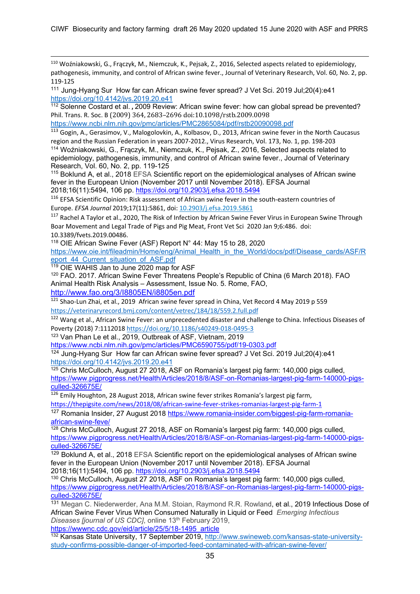<sup>110</sup> Woźniakowski, G., Frączyk, M., Niemczuk, K., Pejsak, Z., 2016, Selected aspects related to epidemiology, pathogenesis, immunity, and control of African swine fever., Journal of Veterinary Research, Vol. 60, No. 2, pp. 119‐125

<sup>111</sup> Jung-Hyang Sur How far can African swine fever spread? J Vet Sci. 2019 Jul;20(4):e41 https://doi.org/10.4142/jvs.2019.20.e41

<sup>112</sup> Solenne Costard et al., 2009 Review: African swine fever: how can global spread be prevented? Phil. Trans. R. Soc. B (2009) 364, 2683–2696 doi:10.1098/rstb.2009.0098

https://www.ncbi.nlm.nih.gov/pmc/articles/PMC2865084/pdf/rstb20090098.pdf

113 Gogin, A., Gerasimov, V., Malogolovkin, A., Kolbasov, D., 2013, African swine fever in the North Caucasus region and the Russian Federation in years 2007‐2012., Virus Research, Vol. 173, No. 1, pp. 198‐203 114 Woźniakowski, G., Frączyk, M., Niemczuk, K., Pejsak, Z., 2016, Selected aspects related to epidemiology, pathogenesis, immunity, and control of African swine fever., Journal of Veterinary

Research, Vol. 60, No. 2, pp. 119-125

<sup>115</sup> Boklund A, et al., 2018 EFSA Scientific report on the epidemiological analyses of African swine fever in the European Union (November 2017 until November 2018). EFSA Journal 2018;16(11):5494, 106 pp. https://doi.org/10.2903/j.efsa.2018.5494

<sup>116</sup> EFSA Scientific Opinion: Risk assessment of African swine fever in the south‐eastern countries of Europe. *EFSA Journal* 2019;17(11):5861, doi: 10.2903/j.efsa.2019.5861

<sup>117</sup> Rachel A Taylor et al., 2020, The Risk of Infection by African Swine Fever Virus in European Swine Through Boar Movement and Legal Trade of Pigs and Pig Meat, Front Vet Sci 2020 Jan 9;6:486. doi: 10.3389/fvets.2019.00486.

118 OIE African Swine Fever (ASF) Report N° 44: May 15 to 28, 2020 https://www.oie.int/fileadmin/Home/eng/Animal\_Health\_in\_the\_World/docs/pdf/Disease\_cards/ASF/R eport 44 Current situation of ASF.pdf

119 OIE WAHIS Jan to June 2020 map for ASF

<sup>120</sup> FAO. 2017. African Swine Fever Threatens People's Republic of China (6 March 2018). FAO Animal Health Risk Analysis – Assessment, Issue No. 5. Rome, FAO, http://www.fao.org/3/I8805EN/i8805en.pdf

<sup>121</sup> Shao-Lun Zhai, et al., 2019 African swine fever spread in China, Vet Record 4 May 2019 p 559 https://veterinaryrecord.bmj.com/content/vetrec/184/18/559.2.full.pdf

122 Wang et al., African Swine Fever: an unprecedented disaster and challenge to China. Infectious Diseases of Poverty (2018) 7:1112018 https://doi.org/10.1186/s40249‐018‐0495‐3

123 Van Phan Le et al., 2019, Outbreak of ASF, Vietnam, 2019

https://www.ncbi.nlm.nih.gov/pmc/articles/PMC6590755/pdf/19-0303.pdf

124 Jung-Hyang Sur How far can African swine fever spread? J Vet Sci. 2019 Jul;20(4):e41 https://doi.org/10.4142/jvs.2019.20.e41

<sup>125</sup> Chris McCulloch, August 27 2018, ASF on Romania's largest pig farm: 140,000 pigs culled, https://www.pigprogress.net/Health/Articles/2018/8/ASF-on-Romanias-largest-pig-farm-140000-pigsculled-326675E/

<sup>126</sup> Emily Houghton, 28 August 2018, African swine fever strikes Romania's largest pig farm, https://thepigsite.com/news/2018/08/african-swine-fever-strikes-romanias-largest-pig-farm-1

<sup>127</sup> Romania Insider, 27 August 2018 https://www.romania-insider.com/biggest-pig-farm-romaniaafrican-swine-feve/

128 Chris McCulloch, August 27 2018, ASF on Romania's largest pig farm: 140,000 pigs culled, https://www.pigprogress.net/Health/Articles/2018/8/ASF-on-Romanias-largest-pig-farm-140000-pigsculled-326675E/

 $129$  Boklund A, et al., 2018 EFSA Scientific report on the epidemiological analyses of African swine fever in the European Union (November 2017 until November 2018). EFSA Journal 2018;16(11):5494, 106 pp. https://doi.org/10.2903/j.efsa.2018.5494

130 Chris McCulloch, August 27 2018, ASF on Romania's largest pig farm: 140,000 pigs culled, https://www.pigprogress.net/Health/Articles/2018/8/ASF-on-Romanias-largest-pig-farm-140000-pigsculled-326675E/

131 Megan C. Niederwerder, Ana M.M. Stoian, Raymond R.R. Rowland, et al., 2019 Infectious Dose of African Swine Fever Virus When Consumed Naturally in Liquid or Feed *Emerging Infectious Diseases [journal of US CDC]*, online 13<sup>th</sup> February 2019, https://wwwnc.cdc.gov/eid/article/25/5/18-1495\_article

132 Kansas State University, 17 September 2019, http://www.swineweb.com/kansas-state-universitystudy-confirms-possible-danger-of-imported-feed-contaminated-with-african-swine-fever/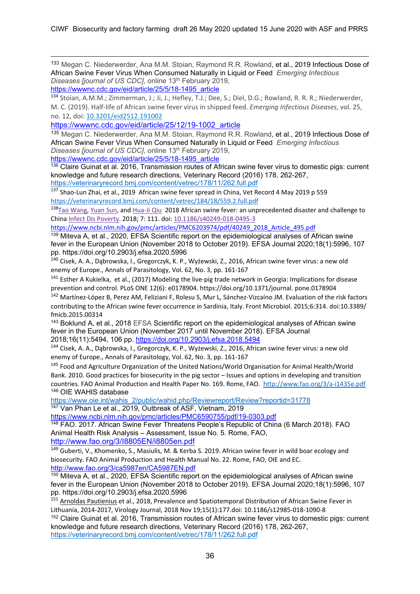<sup>133</sup> Megan C. Niederwerder, Ana M.M. Stoian, Raymond R.R. Rowland, et al., 2019 Infectious Dose of African Swine Fever Virus When Consumed Naturally in Liquid or Feed *Emerging Infectious Diseases [journal of US CDC]*, online 13th February 2019, https://wwwnc.cdc.gov/eid/article/25/5/18-1495\_article

<sup>134</sup> Stoian, A.M.M.; Zimmerman, J.; Ji, J.; Hefley, T.J.; Dee, S.; Diel, D.G.; Rowland, R. R. R.; Niederwerder, M. C. (2019). Half‐life of African swine fever virus in shipped feed. *Emerging Infectious Diseases*, vol. 25, no. 12, doi: 10.3201/eid2512.191002

https://wwwnc.cdc.gov/eid/article/25/12/19-1002\_article

135 Megan C. Niederwerder, Ana M.M. Stoian, Raymond R.R. Rowland, et al., 2019 Infectious Dose of African Swine Fever Virus When Consumed Naturally in Liquid or Feed *Emerging Infectious*  Diseases *[journal of US CDC]*, online 13<sup>th</sup> February 2019,

https://wwwnc.cdc.gov/eid/article/25/5/18-1495\_article

<sup>136</sup> Claire Guinat et al. 2016, Transmission routes of African swine fever virus to domestic pigs: current knowledge and future research directions, Veterinary Record (2016) 178, 262-267, https://veterinaryrecord.bmj.com/content/vetrec/178/11/262.full.pdf

137 Shao-Lun Zhai, et al., 2019 African swine fever spread in China, Vet Record 4 May 2019 p 559 https://veterinaryrecord.bmj.com/content/vetrec/184/18/559.2.full.pdf

138Tao Wang, Yuan Sun, and Hua-Ji Qiu 2018 African swine fever: an unprecedented disaster and challenge to China Infect Dis Poverty. 2018; 7: 111. doi: 10.1186/s40249‐018‐0495‐3

https://www.ncbi.nlm.nih.gov/pmc/articles/PMC6203974/pdf/40249\_2018\_Article\_495.pdf

<sup>139</sup> Miteva A, et al., 2020, EFSA Scientific report on the epidemiological analyses of African swine fever in the European Union (November 2018 to October 2019). EFSA Journal 2020;18(1):5996, 107 pp. https://doi.org/10.2903/j.efsa.2020.5996

140<br><sup>140</sup> Cisek, A. A., Dąbrowska, I., Gregorczyk, K. P., Wyżewski, Z., 2016, African swine fever virus: a new old enemy of Europe., Annals of Parasitology, Vol. 62, No. 3, pp. 161‐167

141 Esther A Kukielka, et al., (2017) Modeling the live-pig trade network in Georgia: Implications for disease prevention and control. PLoS ONE 12(6): e0178904. https://doi.org/10.1371/journal. pone.0178904

142 Martínez-López B, Perez AM, Feliziani F, Rolesu S, Mur L, Sánchez-Vizcaíno JM. Evaluation of the risk factors contributing to the African swine fever occurrence in Sardinia, Italy. Front Microbiol. 2015;6:314. doi:10.3389/ fmicb.2015.00314

143 Boklund A, et al., 2018 EFSA Scientific report on the epidemiological analyses of African swine fever in the European Union (November 2017 until November 2018). EFSA Journal 2018;16(11):5494, 106 pp. https://doi.org/10.2903/j.efsa.2018.5494

<sup>144</sup> Cisek, A. A., Dąbrowska, I., Gregorczyk, K. P., Wyżewski, Z., 2016, African swine fever virus: a new old enemy of Europe., Annals of Parasitology, Vol. 62, No. 3, pp. 161‐167

<sup>145</sup> Food and Agriculture Organization of the United Nations/World Organisation for Animal Health/World Bank. 2010. Good practices for biosecurity in the pig sector – Issues and options in developing and transition countries. FAO Animal Production and Health Paper No. 169. Rome, FAO. http://www.fao.org/3/a‐i1435e.pdf 146 OIE WAHIS database

https://www.oie.int/wahis\_2/public/wahid.php/Reviewreport/Review?reportid=31778 147 Van Phan Le et al., 2019, Outbreak of ASF, Vietnam, 2019

https://www.ncbi.nlm.nih.gov/pmc/articles/PMC6590755/pdf/19-0303.pdf

148 FAO. 2017. African Swine Fever Threatens People's Republic of China (6 March 2018). FAO Animal Health Risk Analysis – Assessment, Issue No. 5. Rome, FAO, http://www.fao.org/3/I8805EN/i8805en.pdf

<sup>149</sup> Guberti, V., Khomenko, S., Masiulis, M. & Kerba S. 2019. African swine fever in wild boar ecology and biosecurity. FAO Animal Production and Health Manual No. 22. Rome, FAO, OIE and EC. http://www.fao.org/3/ca5987en/CA5987EN.pdf

<sup>150</sup> Miteva A, et al., 2020, EFSA Scientific report on the epidemiological analyses of African swine fever in the European Union (November 2018 to October 2019). EFSA Journal 2020;18(1):5996, 107 pp. https://doi.org/10.2903/j.efsa.2020.5996

<sup>151</sup> Arnoldas Pautienius et al., 2018, Prevalence and Spatiotemporal Distribution of African Swine Fever in Lithuania, 2014‐2017, Virology Journal, 2018 Nov 19;15(1):177.doi: 10.1186/s12985‐018‐1090‐8

152 Claire Guinat et al. 2016, Transmission routes of African swine fever virus to domestic pigs: current knowledge and future research directions, Veterinary Record (2016) 178, 262-267, https://veterinaryrecord.bmj.com/content/vetrec/178/11/262.full.pdf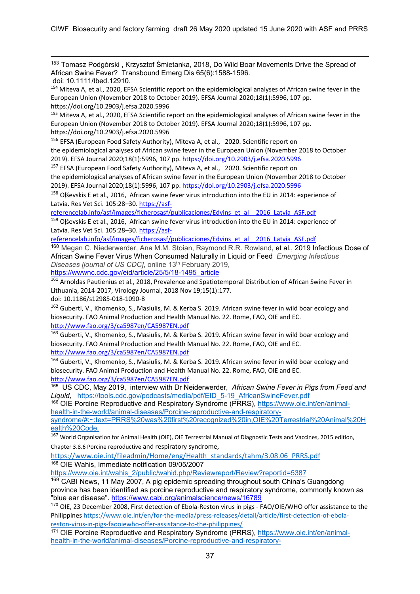<sup>153</sup> Tomasz Podgórski , Krzysztof Śmietanka, 2018, Do Wild Boar Movements Drive the Spread of African Swine Fever? Transbound Emerg Dis 65(6):1588-1596.

doi: 10.1111/tbed.12910.

<sup>154</sup> Miteva A, et al., 2020, EFSA Scientific report on the epidemiological analyses of African swine fever in the European Union (November 2018 to October 2019). EFSA Journal 2020;18(1):5996, 107 pp. https://doi.org/10.2903/j.efsa.2020.5996

<sup>155</sup> Miteva A, et al., 2020, EFSA Scientific report on the epidemiological analyses of African swine fever in the European Union (November 2018 to October 2019). EFSA Journal 2020;18(1):5996, 107 pp. https://doi.org/10.2903/j.efsa.2020.5996

<sup>156</sup> EFSA (European Food Safety Authority), Miteva A, et al., 2020. Scientific report on the epidemiological analyses of African swine fever in the European Union (November 2018 to October 2019). EFSA Journal 2020;18(1):5996, 107 pp. https://doi.org/10.2903/j.efsa.2020.5996

<sup>157</sup> EFSA (European Food Safety Authority), Miteva A, et al., 2020. Scientific report on the epidemiological analyses of African swine fever in the European Union (November 2018 to October 2019). EFSA Journal 2020;18(1):5996, 107 pp. https://doi.org/10.2903/j.efsa.2020.5996

<sup>158</sup> Oļševskis E et al., 2016, African swine fever virus introduction into the EU in 2014: experience of Latvia. Res Vet Sci. 105:28–30. https://asf‐

referencelab.info/asf/images/ficherosasf/publicaciones/Edvins\_et\_al\_\_2016\_Latvia\_ASF.pdf

<sup>159</sup> Oļševskis E et al., 2016, African swine fever virus introduction into the EU in 2014: experience of Latvia. Res Vet Sci. 105:28–30. https://asf‐

referencelab.info/asf/images/ficherosasf/publicaciones/Edvins\_et\_al\_\_2016\_Latvia\_ASF.pdf

<sup>160</sup> Megan C. Niederwerder, Ana M.M. Stoian, Raymond R.R. Rowland, et al., 2019 Infectious Dose of African Swine Fever Virus When Consumed Naturally in Liquid or Feed *Emerging Infectious Diseases [journal of US CDC]*, online 13<sup>th</sup> February 2019,

https://wwwnc.cdc.gov/eid/article/25/5/18-1495\_article

<sup>161</sup> Arnoldas Pautienius et al., 2018, Prevalence and Spatiotemporal Distribution of African Swine Fever in Lithuania, 2014‐2017, Virology Journal, 2018 Nov 19;15(1):177.

doi: 10.1186/s12985‐018‐1090‐8

<sup>162</sup> Guberti, V., Khomenko, S., Masiulis, M. & Kerba S. 2019. African swine fever in wild boar ecology and biosecurity. FAO Animal Production and Health Manual No. 22. Rome, FAO, OIE and EC. http://www.fao.org/3/ca5987en/CA5987EN.pdf

<sup>163</sup> Guberti. V., Khomenko, S., Masiulis, M. & Kerba S. 2019. African swine fever in wild boar ecology and biosecurity. FAO Animal Production and Health Manual No. 22. Rome, FAO, OIE and EC. http://www.fao.org/3/ca5987en/CA5987EN.pdf

<sup>164</sup> Guberti, V., Khomenko, S., Masiulis, M. & Kerba S. 2019. African swine fever in wild boar ecology and biosecurity. FAO Animal Production and Health Manual No. 22. Rome, FAO, OIE and EC. http://www.fao.org/3/ca5987en/CA5987EN.pdf

165 US CDC, May 2019, interview with Dr Neiderwerder, *African Swine Fever in Pigs from Feed and Liquid,* https://tools.cdc.gov/podcasts/media/pdf/EID\_5-19\_AfricanSwineFever.pdf

166 OIE Porcine Reproductive and Respiratory Syndrome (PRRS), https://www.oie.int/en/animalhealth-in-the-world/animal-diseases/Porcine-reproductive-and-respiratory-

syndrome/#:~:text=PRRS%20was%20first%20recognized%20in,OIE%20Terrestrial%20Animal%20H ealth%20Code.

167 World Organisation for Animal Health (OIE), OIE Terrestrial Manual of Diagnostic Tests and Vaccines, 2015 edition, Chapter 3.8.6 Porcine reproductive and respiratory syndrome,

https://www.oie.int/fileadmin/Home/eng/Health\_standards/tahm/3.08.06\_PRRS.pdf 168 OIE Wahis, Immediate notification 09/05/2007

https://www.oie.int/wahis\_2/public/wahid.php/Reviewreport/Review?reportid=5387

<sup>169</sup> CABI News, 11 May 2007, A pig epidemic spreading throughout south China's Guangdong province has been identified as porcine reproductive and respiratory syndrome, commonly known as "blue ear disease". https://www.cabi.org/animalscience/news/16789

<sup>170</sup> OIE, 23 December 2008, First detection of Ebola‐Reston virus in pigs ‐ FAO/OIE/WHO offer assistance to the Philippines https://www.oie.int/en/for-the-media/press-releases/detail/article/first-detection-of-ebolareston‐virus‐in‐pigs‐faooiewho‐offer‐assistance‐to‐the‐philippines/

<sup>171</sup> OIE Porcine Reproductive and Respiratory Syndrome (PRRS), https://www.oie.int/en/animalhealth-in-the-world/animal-diseases/Porcine-reproductive-and-respiratory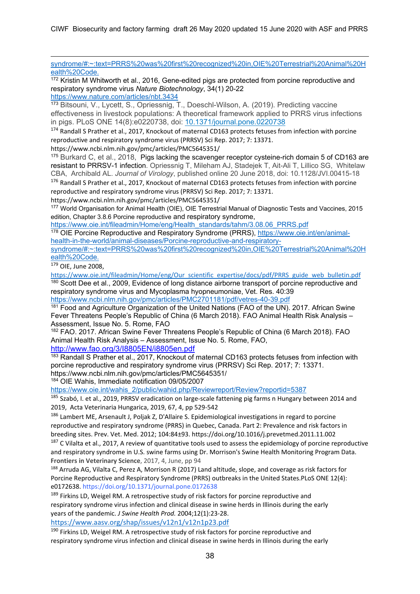CIWF Biosecurity and factory farming draft 26 May 2020 updated 15 June 2020 with ASF and PRRS

syndrome/#:~:text=PRRS%20was%20first%20recognized%20in,OIE%20Terrestrial%20Animal%20H ealth%20Code.

<sup>172</sup> Kristin M Whitworth et al., 2016, Gene-edited pigs are protected from porcine reproductive and respiratory syndrome virus *Nature Biotechnology*, 34(1) 20-22 https://www.nature.com/articles/nbt.3434

<sup>173</sup> Bitsouni, V., Lycett, S., Opriessnig, T., Doeschl-Wilson, A. (2019). Predicting vaccine effectiveness in livestock populations: A theoretical framework applied to PRRS virus infections in pigs. PLoS ONE 14(8):e0220738, doi: 10.1371/journal.pone.0220738

<sup>174</sup> Randall S Prather et al., 2017, Knockout of maternal CD163 protects fetuses from infection with porcine reproductive and respiratory syndrome virus (PRRSV) Sci Rep. 2017; 7: 13371.

https://www.ncbi.nlm.nih.gov/pmc/articles/PMC5645351/

<sup>175</sup> Burkard C, et al., 2018, Pigs lacking the scavenger receptor cysteine-rich domain 5 of CD163 are resistant to PRRSV-1 infection. Opriessnig T, Mileham AJ, Stadejek T, Ait-Ali T, Lillico SG, Whitelaw CBA, Archibald AL. *Journal of Virology*, published online 20 June 2018, doi: 10.1128/JVI.00415-18 <sup>176</sup> Randall S Prather et al., 2017, Knockout of maternal CD163 protects fetuses from infection with porcine reproductive and respiratory syndrome virus (PRRSV) Sci Rep. 2017; 7: 13371.

https://www.ncbi.nlm.nih.gov/pmc/articles/PMC5645351/

<sup>177</sup> World Organisation for Animal Health (OIE), OIE Terrestrial Manual of Diagnostic Tests and Vaccines, 2015 edition, Chapter 3.8.6 Porcine reproductive and respiratory syndrome,

https://www.oie.int/fileadmin/Home/eng/Health\_standards/tahm/3.08.06\_PRRS.pdf 178 OIE Porcine Reproductive and Respiratory Syndrome (PRRS), https://www.oie.int/en/animalhealth-in-the-world/animal-diseases/Porcine-reproductive-and-respiratory-

syndrome/#:~:text=PRRS%20was%20first%20recognized%20in,OIE%20Terrestrial%20Animal%20H ealth%20Code.

 $179$  OIE. June 2008,

https://www.oie.int/fileadmin/Home/eng/Our\_scientific\_expertise/docs/pdf/PRRS\_guide\_web\_bulletin.pdf 180 Scott Dee et al., 2009, Evidence of long distance airborne transport of porcine reproductive and respiratory syndrome virus and Mycoplasma hyopneumoniae, Vet. Res. 40:39 https://www.ncbi.nlm.nih.gov/pmc/articles/PMC2701181/pdf/vetres-40-39.pdf

<sup>181</sup> Food and Agriculture Organization of the United Nations (FAO of the UN). 2017. African Swine Fever Threatens People's Republic of China (6 March 2018). FAO Animal Health Risk Analysis – Assessment, Issue No. 5. Rome, FAO

182 FAO. 2017. African Swine Fever Threatens People's Republic of China (6 March 2018). FAO Animal Health Risk Analysis – Assessment, Issue No. 5. Rome, FAO,

http://www.fao.org/3/I8805EN/i8805en.pdf

183 Randall S Prather et al., 2017, Knockout of maternal CD163 protects fetuses from infection with porcine reproductive and respiratory syndrome virus (PRRSV) Sci Rep. 2017; 7: 13371. https://www.ncbi.nlm.nih.gov/pmc/articles/PMC5645351/

184 OIE Wahis, Immediate notification 09/05/2007

https://www.oie.int/wahis\_2/public/wahid.php/Reviewreport/Review?reportid=5387

185 Szabó, I. et al., 2019, PRRSV eradication on large-scale fattening pig farms n Hungary between 2014 and 2019, Acta Veterinaria Hungarica, 2019, 67, 4, pp 529‐542

<sup>186</sup> Lambert ME, Arsenault J, Poljak Z, D'Allaire S. Epidemiological investigations in regard to porcine reproductive and respiratory syndrome (PRRS) in Quebec, Canada. Part 2: Prevalence and risk factors in breeding sites. Prev. Vet. Med. 2012; 104:84±93. https://doi.org/10.1016/j.prevetmed.2011.11.002

 $187$  C Vilalta et al., 2017, A review of quantitative tools used to assess the epidemiology of porcine reproductive and respiratory syndrome in U.S. swine farms using Dr. Morrison's Swine Health Monitoring Program Data. **Frontiers in Veterinary Science**, 2017, 4, June, pp 94

<sup>188</sup> Arruda AG, Vilalta C, Perez A, Morrison R (2017) Land altitude, slope, and coverage as risk factors for Porcine Reproductive and Respiratory Syndrome (PRRS) outbreaks in the United States.PLoS ONE 12(4): e0172638. https://doi.org/10.1371/journal.pone.0172638

<sup>189</sup> Firkins LD, Weigel RM. A retrospective study of risk factors for porcine reproductive and respiratory syndrome virus infection and clinical disease in swine herds in Illinois during the early years of the pandemic. *J Swine Health Prod.* 2004;12(1):23‐28.

https://www.aasv.org/shap/issues/v12n1/v12n1p23.pdf

<sup>190</sup> Firkins LD, Weigel RM. A retrospective study of risk factors for porcine reproductive and respiratory syndrome virus infection and clinical disease in swine herds in Illinois during the early